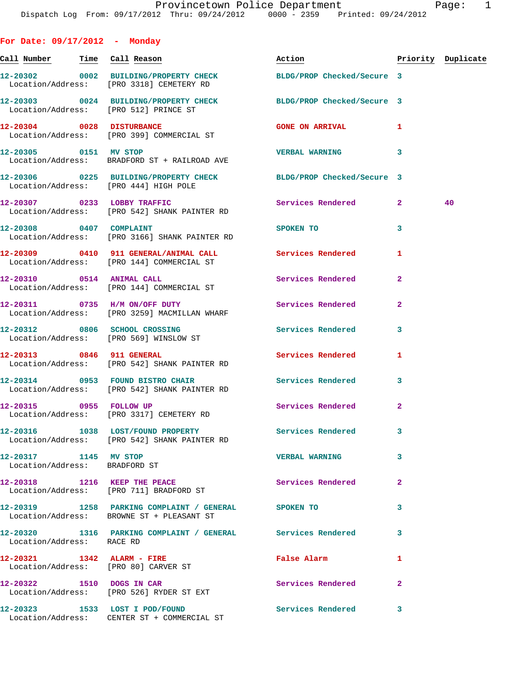| For Date: 09/17/2012 - Monday                          |                                                                                                              |                          |                |                    |
|--------------------------------------------------------|--------------------------------------------------------------------------------------------------------------|--------------------------|----------------|--------------------|
|                                                        | Call Number - Time Call Reason                                                                               | Action                   |                | Priority Duplicate |
|                                                        | 12-20302 0002 BUILDING/PROPERTY CHECK BLDG/PROP Checked/Secure 3<br>Location/Address: [PRO 3318] CEMETERY RD |                          |                |                    |
|                                                        | 12-20303 0024 BUILDING/PROPERTY CHECK BLDG/PROP Checked/Secure 3<br>Location/Address: [PRO 512] PRINCE ST    |                          |                |                    |
|                                                        | 12-20304 0028 DISTURBANCE<br>Location/Address: [PRO 399] COMMERCIAL ST                                       | <b>GONE ON ARRIVAL</b>   | 1              |                    |
|                                                        | 12-20305 0151 MV STOP<br>Location/Address: BRADFORD ST + RAILROAD AVE                                        | <b>VERBAL WARNING</b>    | 3              |                    |
|                                                        | 12-20306 0225 BUILDING/PROPERTY CHECK BLDG/PROP Checked/Secure 3<br>Location/Address: [PRO 444] HIGH POLE    |                          |                |                    |
|                                                        | 12-20307 0233 LOBBY TRAFFIC<br>Location/Address: [PRO 542] SHANK PAINTER RD                                  | Services Rendered        | $\mathbf{2}$   | 40                 |
| 12-20308 0407 COMPLAINT                                | Location/Address: [PRO 3166] SHANK PAINTER RD                                                                | SPOKEN TO                | 3              |                    |
|                                                        | 12-20309 0410 911 GENERAL/ANIMAL CALL Services Rendered<br>Location/Address: [PRO 144] COMMERCIAL ST         |                          | 1              |                    |
|                                                        | 12-20310 0514 ANIMAL CALL<br>Location/Address: [PRO 144] COMMERCIAL ST                                       | <b>Services Rendered</b> | 2              |                    |
|                                                        | 12-20311 0735 H/M ON/OFF DUTY<br>Location/Address: [PRO 3259] MACMILLAN WHARF                                | Services Rendered        | $\mathbf{2}$   |                    |
|                                                        | 12-20312 0806 SCHOOL CROSSING<br>Location/Address: [PRO 569] WINSLOW ST                                      | Services Rendered        | 3              |                    |
|                                                        | 12-20313 0846 911 GENERAL<br>Location/Address: [PRO 542] SHANK PAINTER RD                                    | Services Rendered        | 1              |                    |
|                                                        | 12-20314 0953 FOUND BISTRO CHAIR<br>Location/Address: [PRO 542] SHANK PAINTER RD                             | <b>Services Rendered</b> | 3              |                    |
|                                                        | 12-20315 0955 FOLLOW UP<br>Location/Address: [PRO 3317] CEMETERY RD                                          | <b>Services Rendered</b> | $\overline{2}$ |                    |
|                                                        | 12-20316 1038 LOST/FOUND PROPERTY Services Rendered<br>Location/Address: [PRO 542] SHANK PAINTER RD          |                          | 3              |                    |
| 12-20317 1145 MV STOP<br>Location/Address: BRADFORD ST |                                                                                                              | <b>VERBAL WARNING</b>    | 3              |                    |
|                                                        | 12-20318 1216 KEEP THE PEACE<br>Location/Address: [PRO 711] BRADFORD ST                                      | Services Rendered        | $\mathbf{2}$   |                    |
|                                                        | 12-20319 1258 PARKING COMPLAINT / GENERAL SPOKEN TO<br>Location/Address: BROWNE ST + PLEASANT ST             |                          | 3              |                    |
| Location/Address: RACE RD                              | 12-20320 1316 PARKING COMPLAINT / GENERAL Services Rendered                                                  |                          | 3              |                    |
|                                                        | 12-20321 1342 ALARM - FIRE<br>Location/Address: [PRO 80] CARVER ST                                           | False Alarm              | 1              |                    |
| 12-20322 1510 DOGS IN CAR                              | Location/Address: [PRO 526] RYDER ST EXT                                                                     | Services Rendered        | $\overline{a}$ |                    |
|                                                        | 12-20323 1533 LOST I POD/FOUND<br>Location/Address: CENTER ST + COMMERCIAL ST                                | <b>Services Rendered</b> | 3              |                    |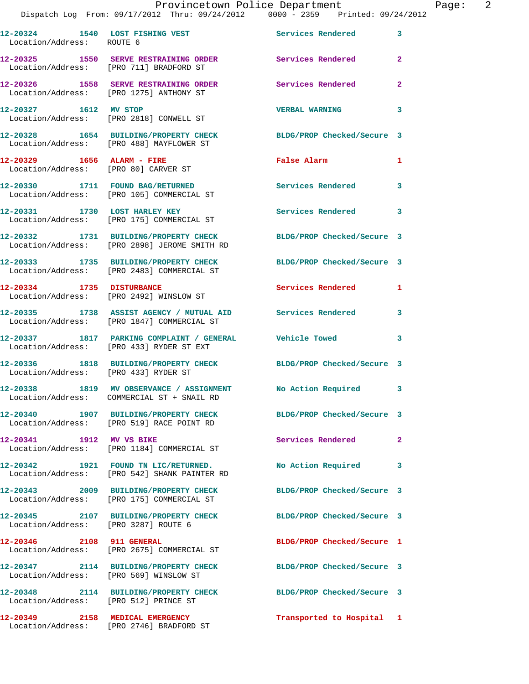| Location/Address: ROUTE 6 | 12-20324 1540 LOST FISHING VEST                                                                          | Services Rendered          | 3              |
|---------------------------|----------------------------------------------------------------------------------------------------------|----------------------------|----------------|
|                           | 12-20325 1550 SERVE RESTRAINING ORDER<br>Location/Address: [PRO 711] BRADFORD ST                         | <b>Services Rendered</b>   | $\overline{a}$ |
|                           | 12-20326 1558 SERVE RESTRAINING ORDER<br>Location/Address: [PRO 1275] ANTHONY ST                         | Services Rendered          | 2              |
| 12-20327 1612 MV STOP     | Location/Address: [PRO 2818] CONWELL ST                                                                  | <b>VERBAL WARNING</b>      | 3              |
|                           | 12-20328 1654 BUILDING/PROPERTY CHECK<br>Location/Address: [PRO 488] MAYFLOWER ST                        | BLDG/PROP Checked/Secure 3 |                |
|                           | 12-20329 1656 ALARM - FIRE<br>Location/Address: [PRO 80] CARVER ST                                       | False Alarm                | 1              |
|                           | 12-20330 1711 FOUND BAG/RETURNED<br>Location/Address: [PRO 105] COMMERCIAL ST                            | Services Rendered          | 3              |
|                           | 12-20331 1730 LOST HARLEY KEY<br>Location/Address: [PRO 175] COMMERCIAL ST                               | <b>Services Rendered</b>   | 3              |
|                           | 12-20332 1731 BUILDING/PROPERTY CHECK<br>Location/Address: [PRO 2898] JEROME SMITH RD                    | BLDG/PROP Checked/Secure 3 |                |
|                           | 12-20333 1735 BUILDING/PROPERTY CHECK<br>Location/Address: [PRO 2483] COMMERCIAL ST                      | BLDG/PROP Checked/Secure 3 |                |
|                           | 12-20334 1735 DISTURBANCE<br>Location/Address: [PRO 2492] WINSLOW ST                                     | Services Rendered          | 1              |
|                           | 12-20335 1738 ASSIST AGENCY / MUTUAL AID Services Rendered<br>Location/Address: [PRO 1847] COMMERCIAL ST |                            | 3              |
|                           | 12-20337 1817 PARKING COMPLAINT / GENERAL Vehicle Towed<br>Location/Address: [PRO 433] RYDER ST EXT      |                            | 3              |
|                           | 12-20336 1818 BUILDING/PROPERTY CHECK<br>Location/Address: [PRO 433] RYDER ST                            | BLDG/PROP Checked/Secure 3 |                |
|                           | 12-20338 1819 MV OBSERVANCE / ASSIGNMENT<br>Location/Address: COMMERCIAL ST + SNAIL RD                   | No Action Required         | $\mathbf{3}$   |
|                           | Location/Address: [PRO 519] RACE POINT RD                                                                | BLDG/PROP Checked/Secure 3 |                |
| 12-20341 1912 MV VS BIKE  | Location/Address: [PRO 1184] COMMERCIAL ST                                                               | Services Rendered          | $\overline{2}$ |
|                           | 12-20342 1921 FOUND TN LIC/RETURNED.<br>Location/Address: [PRO 542] SHANK PAINTER RD                     | No Action Required         | 3              |
|                           | 12-20343 2009 BUILDING/PROPERTY CHECK<br>Location/Address: [PRO 175] COMMERCIAL ST                       | BLDG/PROP Checked/Secure 3 |                |
|                           | 12-20345 2107 BUILDING/PROPERTY CHECK<br>Location/Address: [PRO 3287] ROUTE 6                            | BLDG/PROP Checked/Secure 3 |                |
| 12-20346 2108 911 GENERAL | Location/Address: [PRO 2675] COMMERCIAL ST                                                               | BLDG/PROP Checked/Secure 1 |                |
|                           | 12-20347 2114 BUILDING/PROPERTY CHECK<br>Location/Address: [PRO 569] WINSLOW ST                          | BLDG/PROP Checked/Secure 3 |                |
|                           | 12-20348 2114 BUILDING/PROPERTY CHECK<br>Location/Address: [PRO 512] PRINCE ST                           | BLDG/PROP Checked/Secure 3 |                |
|                           | 12-20349 2158 MEDICAL EMERGENCY<br>Location/Address: [PRO 2746] BRADFORD ST                              | Transported to Hospital    | 1              |
|                           |                                                                                                          |                            |                |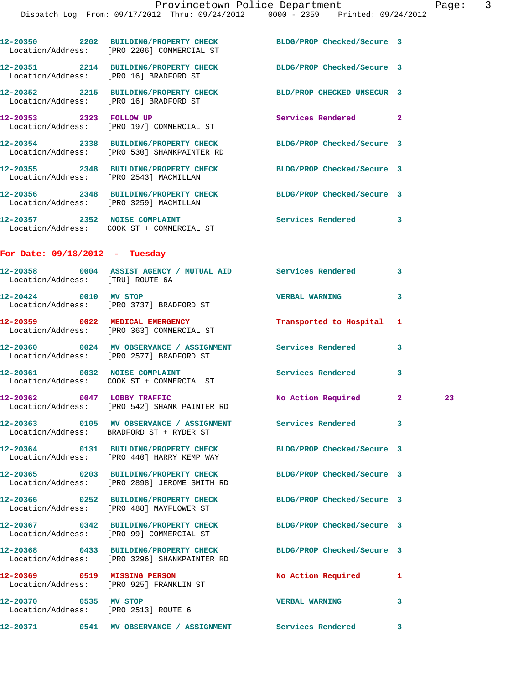|                                  | 12-20350 2202 BUILDING/PROPERTY CHECK<br>Location/Address: [PRO 2206] COMMERCIAL ST                              | BLDG/PROP Checked/Secure 3 |   |    |
|----------------------------------|------------------------------------------------------------------------------------------------------------------|----------------------------|---|----|
|                                  | 12-20351 2214 BUILDING/PROPERTY CHECK BLDG/PROP Checked/Secure 3<br>Location/Address: [PRO 16] BRADFORD ST       |                            |   |    |
|                                  | 12-20352 2215 BUILDING/PROPERTY CHECK<br>Location/Address: [PRO 16] BRADFORD ST                                  | BLD/PROP CHECKED UNSECUR 3 |   |    |
|                                  | 12-20353 2323 FOLLOW UP<br>Location/Address: [PRO 197] COMMERCIAL ST                                             | Services Rendered 2        |   |    |
|                                  | 12-20354 2338 BUILDING/PROPERTY CHECK<br>Location/Address: [PRO 530] SHANKPAINTER RD                             | BLDG/PROP Checked/Secure 3 |   |    |
|                                  | 12-20355 2348 BUILDING/PROPERTY CHECK<br>Location/Address: [PRO 2543] MACMILLAN                                  | BLDG/PROP Checked/Secure 3 |   |    |
|                                  | 12-20356 2348 BUILDING/PROPERTY CHECK BLDG/PROP Checked/Secure 3<br>Location/Address: [PRO 3259] MACMILLAN       |                            |   |    |
|                                  | 12-20357 2352 NOISE COMPLAINT                                                                                    | Services Rendered 3        |   |    |
| For Date: $09/18/2012$ - Tuesday |                                                                                                                  |                            |   |    |
| Location/Address: [TRU] ROUTE 6A | 12-20358 0004 ASSIST AGENCY / MUTUAL AID Services Rendered 3                                                     |                            |   |    |
| 12-20424 0010 MV STOP            | Location/Address: [PRO 3737] BRADFORD ST                                                                         | <b>VERBAL WARNING</b>      | 3 |    |
|                                  | 12-20359 0022 MEDICAL EMERGENCY<br>Location/Address: [PRO 363] COMMERCIAL ST                                     | Transported to Hospital    | 1 |    |
|                                  | 12-20360 0024 MV OBSERVANCE / ASSIGNMENT Services Rendered<br>Location/Address: [PRO 2577] BRADFORD ST           |                            | 3 |    |
|                                  | 12-20361 0032 NOISE COMPLAINT<br>Location/Address: COOK ST + COMMERCIAL ST                                       | Services Rendered          | 3 |    |
|                                  | 12-20362 0047 LOBBY TRAFFIC<br>Location/Address: [PRO 542] SHANK PAINTER RD                                      | No Action Required 2       |   | 23 |
|                                  | 12-20363 0105 MV OBSERVANCE / ASSIGNMENT<br>Location/Address: BRADFORD ST + RYDER ST                             | Services Rendered          | 3 |    |
|                                  | 12-20364 0131 BUILDING/PROPERTY CHECK BLDG/PROP Checked/Secure 3<br>Location/Address: [PRO 440] HARRY KEMP WAY   |                            |   |    |
|                                  | 12-20365 0203 BUILDING/PROPERTY CHECK BLDG/PROP Checked/Secure 3<br>Location/Address: [PRO 2898] JEROME SMITH RD |                            |   |    |
|                                  | 12-20366 0252 BUILDING/PROPERTY CHECK<br>Location/Address: [PRO 488] MAYFLOWER ST                                | BLDG/PROP Checked/Secure 3 |   |    |
|                                  | 12-20367 0342 BUILDING/PROPERTY CHECK<br>Location/Address: [PRO 99] COMMERCIAL ST                                | BLDG/PROP Checked/Secure 3 |   |    |
|                                  | 12-20368 0433 BUILDING/PROPERTY CHECK<br>Location/Address: [PRO 3296] SHANKPAINTER RD                            | BLDG/PROP Checked/Secure 3 |   |    |
|                                  | 12-20369 0519 MISSING PERSON<br>Location/Address: [PRO 925] FRANKLIN ST                                          | No Action Required         | 1 |    |
| 12-20370 0535 MV STOP            | Location/Address: [PRO 2513] ROUTE 6                                                                             | <b>VERBAL WARNING</b>      | 3 |    |
|                                  | 12-20371 0541 MV OBSERVANCE / ASSIGNMENT Services Rendered                                                       |                            | 3 |    |
|                                  |                                                                                                                  |                            |   |    |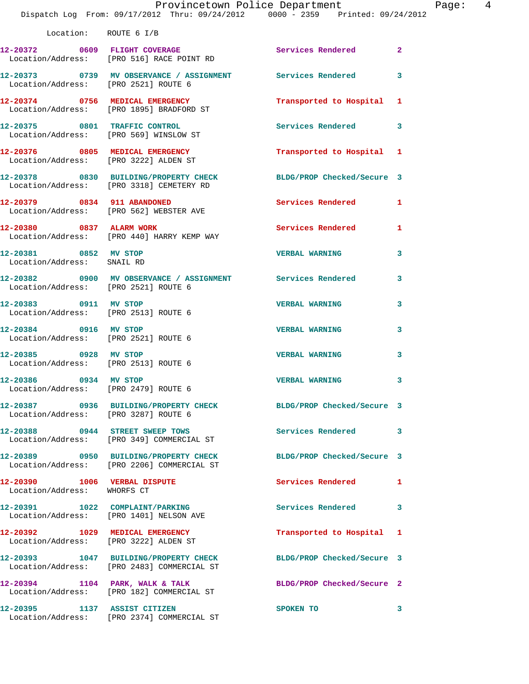|                                                               | Provincetown Police Department<br>Dispatch Log From: 09/17/2012 Thru: 09/24/2012 0000 - 2359 Printed: 09/24/2012 |                            | Page: 4      |  |
|---------------------------------------------------------------|------------------------------------------------------------------------------------------------------------------|----------------------------|--------------|--|
| Location: ROUTE 6 I/B                                         |                                                                                                                  |                            |              |  |
|                                                               | 12-20372 0609 FLIGHT COVERAGE<br>Location/Address: [PRO 516] RACE POINT RD                                       | Services Rendered 2        |              |  |
|                                                               | 12-20373  0739 MV OBSERVANCE / ASSIGNMENT Services Rendered 3<br>Location/Address: [PRO 2521] ROUTE 6            |                            |              |  |
|                                                               | 12-20374 0756 MEDICAL EMERGENCY<br>Location/Address: [PRO 1895] BRADFORD ST                                      | Transported to Hospital 1  |              |  |
|                                                               | 12-20375 0801 TRAFFIC CONTROL<br>Location/Address: [PRO 569] WINSLOW ST                                          | Services Rendered 3        |              |  |
|                                                               | 12-20376 0805 MEDICAL EMERGENCY<br>Location/Address: [PRO 3222] ALDEN ST                                         | Transported to Hospital 1  |              |  |
|                                                               | 12-20378 0830 BUILDING/PROPERTY CHECK BLDG/PROP Checked/Secure 3<br>Location/Address: [PRO 3318] CEMETERY RD     |                            |              |  |
|                                                               | 12-20379 0834 911 ABANDONED<br>Location/Address: [PRO 562] WEBSTER AVE                                           | Services Rendered 1        |              |  |
|                                                               | 12-20380 0837 ALARM WORK<br>Location/Address: [PRO 440] HARRY KEMP WAY                                           | Services Rendered 1        |              |  |
| 12-20381 0852 MV STOP<br>Location/Address: SNAIL RD           |                                                                                                                  | <b>VERBAL WARNING</b>      | 3            |  |
| Location/Address: [PRO 2521] ROUTE 6                          | 12-20382 0900 MV OBSERVANCE / ASSIGNMENT Services Rendered                                                       |                            | 3            |  |
| 12-20383 0911 MV STOP                                         | Location/Address: [PRO 2513] ROUTE 6                                                                             | <b>VERBAL WARNING</b>      | 3            |  |
| 12-20384 0916 MV STOP<br>Location/Address: [PRO 2521] ROUTE 6 |                                                                                                                  | <b>VERBAL WARNING</b>      | 3            |  |
| 12-20385 0928 MV STOP<br>Location/Address: [PRO 2513] ROUTE 6 |                                                                                                                  | <b>VERBAL WARNING</b>      | 3            |  |
| 12-20386 0934 MV STOP<br>Location/Address: [PRO 2479] ROUTE 6 |                                                                                                                  | <b>VERBAL WARNING</b>      | $\mathbf{3}$ |  |
| Location/Address: [PRO 3287] ROUTE 6                          | 12-20387 0936 BUILDING/PROPERTY CHECK BLDG/PROP Checked/Secure 3                                                 |                            |              |  |
|                                                               | 12-20388 0944 STREET SWEEP TOWS<br>Location/Address: [PRO 349] COMMERCIAL ST                                     | Services Rendered 3        |              |  |
|                                                               | 12-20389 0950 BUILDING/PROPERTY CHECK BLDG/PROP Checked/Secure 3<br>Location/Address: [PRO 2206] COMMERCIAL ST   |                            |              |  |
| 12-20390 1006 VERBAL DISPUTE<br>Location/Address: WHORFS CT   |                                                                                                                  | Services Rendered 1        |              |  |
|                                                               | 12-20391 1022 COMPLAINT/PARKING<br>Location/Address: [PRO 1401] NELSON AVE                                       | Services Rendered 3        |              |  |
|                                                               | 12-20392 1029 MEDICAL EMERGENCY<br>Location/Address: [PRO 3222] ALDEN ST                                         | Transported to Hospital 1  |              |  |
|                                                               | 12-20393 1047 BUILDING/PROPERTY CHECK BLDG/PROP Checked/Secure 3<br>Location/Address: [PRO 2483] COMMERCIAL ST   |                            |              |  |
|                                                               | 12-20394 1104 PARK, WALK & TALK<br>Location/Address: [PRO 182] COMMERCIAL ST                                     | BLDG/PROP Checked/Secure 2 |              |  |
| 12-20395 1137 ASSIST CITIZEN                                  | Location/Address: [PRO 2374] COMMERCIAL ST                                                                       | SPOKEN TO                  | 3            |  |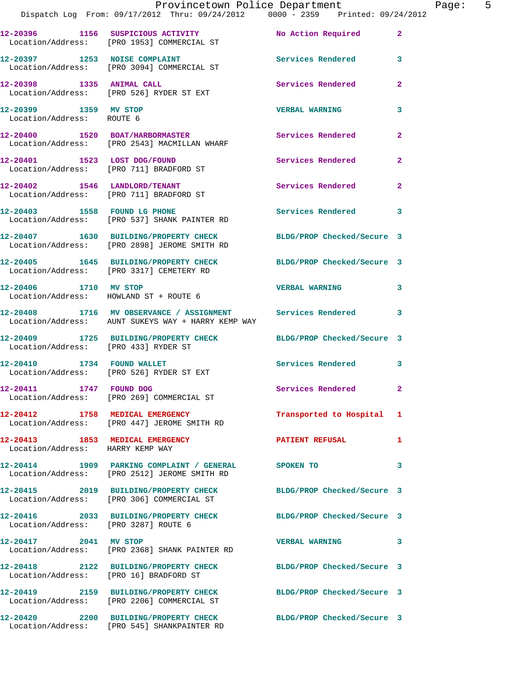|                                                    | Provincetown Police Department                                                                                   |                            |                |
|----------------------------------------------------|------------------------------------------------------------------------------------------------------------------|----------------------------|----------------|
|                                                    | 12-20396 1156 SUSPICIOUS ACTIVITY No Action Required 2<br>Location/Address: [PRO 1953] COMMERCIAL ST             |                            |                |
|                                                    | 12-20397 1253 NOISE COMPLAINT<br>Location/Address: [PRO 3094] COMMERCIAL ST                                      | Services Rendered          | 3              |
|                                                    | 12-20398 1335 ANIMAL CALL<br>Location/Address: [PRO 526] RYDER ST EXT                                            | <b>Services Rendered</b>   | $\mathbf{2}$   |
| 12-20399 1359 MV STOP<br>Location/Address: ROUTE 6 |                                                                                                                  | <b>VERBAL WARNING</b>      | 3              |
|                                                    | 12-20400 1520 BOAT/HARBORMASTER<br>Location/Address: [PRO 2543] MACMILLAN WHARF                                  | Services Rendered          | $\mathbf{2}$   |
|                                                    | 12-20401 1523 LOST DOG/FOUND<br>Location/Address: [PRO 711] BRADFORD ST                                          | Services Rendered          | $\overline{2}$ |
|                                                    | 12-20402 1546 LANDLORD/TENANT<br>Location/Address: [PRO 711] BRADFORD ST                                         | Services Rendered          | $\mathbf{2}$   |
|                                                    | 12-20403 1558 FOUND LG PHONE<br>Location/Address: [PRO 537] SHANK PAINTER RD                                     | Services Rendered 3        |                |
|                                                    | 12-20407 1630 BUILDING/PROPERTY CHECK BLDG/PROP Checked/Secure 3<br>Location/Address: [PRO 2898] JEROME SMITH RD |                            |                |
|                                                    | 12-20405 1645 BUILDING/PROPERTY CHECK BLDG/PROP Checked/Secure 3<br>Location/Address: [PRO 3317] CEMETERY RD     |                            |                |
|                                                    | 12-20406 1710 MV STOP<br>Location/Address: HOWLAND ST + ROUTE 6                                                  | <b>VERBAL WARNING</b>      | 3              |
|                                                    | 12-20408 1716 MV OBSERVANCE / ASSIGNMENT Services Rendered<br>Location/Address: AUNT SUKEYS WAY + HARRY KEMP WAY |                            | 3              |
| Location/Address: [PRO 433] RYDER ST               | 12-20409 1725 BUILDING/PROPERTY CHECK BLDG/PROP Checked/Secure 3                                                 |                            |                |
| 12-20410 1734 FOUND WALLET                         | Location/Address: [PRO 526] RYDER ST EXT                                                                         | Services Rendered          | 3              |
| 12-20411 1747 FOUND DOG                            | Location/Address: [PRO 269] COMMERCIAL ST                                                                        | Services Rendered          | $\mathbf{2}$   |
|                                                    | 12-20412 1758 MEDICAL EMERGENCY<br>Location/Address: [PRO 447] JEROME SMITH RD                                   | Transported to Hospital 1  |                |
| Location/Address: HARRY KEMP WAY                   | 12-20413 1853 MEDICAL EMERGENCY                                                                                  | <b>PATIENT REFUSAL</b>     | 1              |
|                                                    | 12-20414 1909 PARKING COMPLAINT / GENERAL<br>Location/Address: [PRO 2512] JEROME SMITH RD                        | SPOKEN TO                  | 3              |
|                                                    | 12-20415 2019 BUILDING/PROPERTY CHECK BLDG/PROP Checked/Secure 3<br>Location/Address: [PRO 306] COMMERCIAL ST    |                            |                |
| Location/Address: [PRO 3287] ROUTE 6               | 12-20416 2033 BUILDING/PROPERTY CHECK BLDG/PROP Checked/Secure 3                                                 |                            |                |
| 12-20417 2041 MV STOP                              | Location/Address: [PRO 2368] SHANK PAINTER RD                                                                    | <b>VERBAL WARNING</b>      | 3              |
| Location/Address: [PRO 16] BRADFORD ST             | 12-20418 2122 BUILDING/PROPERTY CHECK BLDG/PROP Checked/Secure 3                                                 |                            |                |
|                                                    | 12-20419 2159 BUILDING/PROPERTY CHECK BLDG/PROP Checked/Secure 3<br>Location/Address: [PRO 2206] COMMERCIAL ST   |                            |                |
|                                                    | 12-20420 2200 BUILDING/PROPERTY CHECK<br>Location/Address: [PRO 545] SHANKPAINTER RD                             | BLDG/PROP Checked/Secure 3 |                |

Page: 5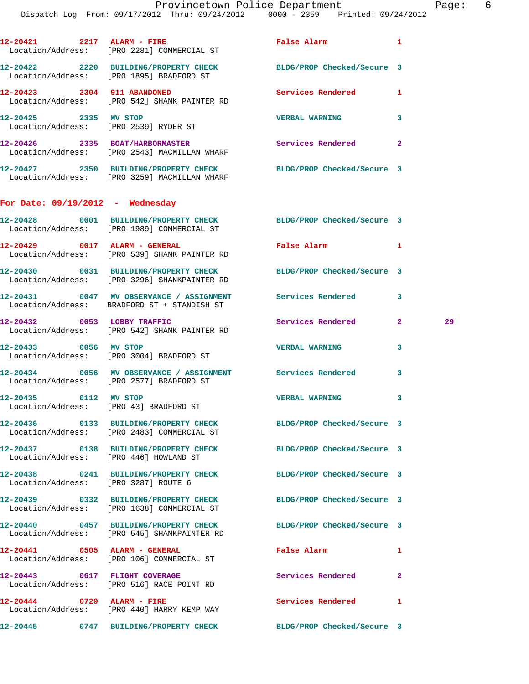|                                    | 12-20421 2217 ALARM - FIRE False Alarm 1<br>Location/Address: [PRO 2281] COMMERCIAL ST                           |                            |                |    |
|------------------------------------|------------------------------------------------------------------------------------------------------------------|----------------------------|----------------|----|
|                                    | 12-20422 2220 BUILDING/PROPERTY CHECK BLDG/PROP Checked/Secure 3<br>Location/Address: [PRO 1895] BRADFORD ST     |                            |                |    |
|                                    | 12-20423 2304 911 ABANDONED<br>Location/Address: [PRO 542] SHANK PAINTER RD                                      | Services Rendered 1        |                |    |
| 12-20425 2335 MV STOP              | Location/Address: [PRO 2539] RYDER ST                                                                            | <b>VERBAL WARNING</b>      | 3              |    |
|                                    | 12-20426 2335 BOAT/HARBORMASTER<br>Location/Address: [PRO 2543] MACMILLAN WHARF                                  | Services Rendered          | $\overline{2}$ |    |
|                                    | 12-20427 2350 BUILDING/PROPERTY CHECK<br>Location/Address: [PRO 3259] MACMILLAN WHARF                            | BLDG/PROP Checked/Secure 3 |                |    |
| For Date: $09/19/2012$ - Wednesday |                                                                                                                  |                            |                |    |
|                                    | 12-20428 0001 BUILDING/PROPERTY CHECK BLDG/PROP Checked/Secure 3<br>Location/Address: [PRO 1989] COMMERCIAL ST   |                            |                |    |
|                                    | 12-20429 0017 ALARM - GENERAL<br>Location/Address: [PRO 539] SHANK PAINTER RD                                    | False Alarm                | $\blacksquare$ |    |
|                                    | 12-20430 0031 BUILDING/PROPERTY CHECK BLDG/PROP Checked/Secure 3<br>Location/Address: [PRO 3296] SHANKPAINTER RD |                            |                |    |
|                                    | 12-20431 0047 MV OBSERVANCE / ASSIGNMENT Services Rendered<br>Location/Address: BRADFORD ST + STANDISH ST        |                            | 3              |    |
|                                    | 12-20432 0053 LOBBY TRAFFIC<br>Location/Address: [PRO 542] SHANK PAINTER RD                                      | Services Rendered 2        |                | 29 |
|                                    | 12-20433 0056 MV STOP<br>Location/Address: [PRO 3004] BRADFORD ST                                                | <b>VERBAL WARNING</b>      | 3              |    |
|                                    | 12-20434 0056 MV OBSERVANCE / ASSIGNMENT Services Rendered<br>Location/Address: [PRO 2577] BRADFORD ST           |                            | 3              |    |
|                                    | 12-20435 0112 MV STOP<br>Location/Address: [PRO 43] BRADFORD ST                                                  | <b>VERBAL WARNING</b>      | 3              |    |
|                                    | 12-20436  0133 BUILDING/PROPERTY CHECK BLDG/PROP Checked/Secure 3<br>Location/Address: [PRO 2483] COMMERCIAL ST  |                            |                |    |
|                                    | 12-20437 0138 BUILDING/PROPERTY CHECK BLDG/PROP Checked/Secure 3<br>Location/Address: [PRO 446] HOWLAND ST       |                            |                |    |
|                                    | 12-20438 0241 BUILDING/PROPERTY CHECK BLDG/PROP Checked/Secure 3<br>Location/Address: [PRO 3287] ROUTE 6         |                            |                |    |
|                                    | 12-20439 0332 BUILDING/PROPERTY CHECK BLDG/PROP Checked/Secure 3<br>Location/Address: [PRO 1638] COMMERCIAL ST   |                            |                |    |
|                                    | 12-20440 0457 BUILDING/PROPERTY CHECK BLDG/PROP Checked/Secure 3<br>Location/Address: [PRO 545] SHANKPAINTER RD  |                            |                |    |
|                                    | 12-20441 0505 ALARM - GENERAL<br>Location/Address: [PRO 106] COMMERCIAL ST                                       | False Alarm                | 1              |    |
|                                    | 12-20443 0617 FLIGHT COVERAGE<br>Location/Address: [PRO 516] RACE POINT RD                                       | Services Rendered          | $\mathbf{2}$   |    |
|                                    | 12-20444 0729 ALARM - FIRE<br>Location/Address: [PRO 440] HARRY KEMP WAY                                         | Services Rendered          | 1              |    |
|                                    | 12-20445 0747 BUILDING/PROPERTY CHECK                                                                            | BLDG/PROP Checked/Secure 3 |                |    |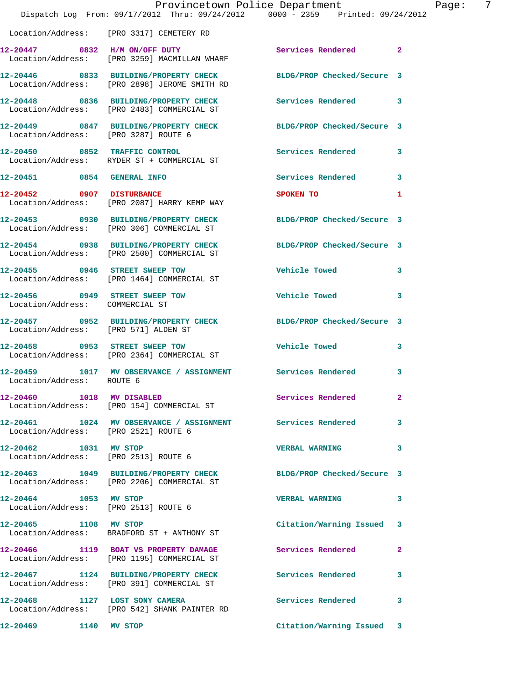|                                      | Dispatch Log From: 09/17/2012 Thru: 09/24/2012 0000 - 2359 Printed: 09/24/2012                                   | Provincetown Police Department                                                                                 | $\overline{7}$<br>Page: |
|--------------------------------------|------------------------------------------------------------------------------------------------------------------|----------------------------------------------------------------------------------------------------------------|-------------------------|
|                                      | Location/Address: [PRO 3317] CEMETERY RD                                                                         |                                                                                                                |                         |
|                                      | 12-20447 0832 H/M ON/OFF DUTY<br>Location/Address: [PRO 3259] MACMILLAN WHARF                                    | Services Rendered 2                                                                                            |                         |
|                                      | 12-20446 0833 BUILDING/PROPERTY CHECK BLDG/PROP Checked/Secure 3<br>Location/Address: [PRO 2898] JEROME SMITH RD |                                                                                                                |                         |
|                                      | 12-20448 0836 BUILDING/PROPERTY CHECK Services Rendered 3<br>Location/Address: [PRO 2483] COMMERCIAL ST          |                                                                                                                |                         |
| Location/Address: [PRO 3287] ROUTE 6 | 12-20449 0847 BUILDING/PROPERTY CHECK BLDG/PROP Checked/Secure 3                                                 |                                                                                                                |                         |
|                                      | 12-20450 0852 TRAFFIC CONTROL<br>Location/Address: RYDER ST + COMMERCIAL ST                                      | Services Rendered 3                                                                                            |                         |
|                                      | 12-20451 0854 GENERAL INFO                                                                                       | Services Rendered 3                                                                                            |                         |
| 12-20452 0907 DISTURBANCE            | Location/Address: [PRO 2087] HARRY KEMP WAY                                                                      | SPOKEN TO AND TO A RESIDENCE OF A RESIDENCE OF A RESIDENCE OF A RESIDENCE OF A RESIDENCE OF A RESIDENCE OF A R | 1                       |
|                                      | 12-20453 0930 BUILDING/PROPERTY CHECK BLDG/PROP Checked/Secure 3<br>Location/Address: [PRO 306] COMMERCIAL ST    |                                                                                                                |                         |
|                                      | 12-20454 0938 BUILDING/PROPERTY CHECK BLDG/PROP Checked/Secure 3<br>Location/Address: [PRO 2500] COMMERCIAL ST   |                                                                                                                |                         |
|                                      |                                                                                                                  | Vehicle Towed 3                                                                                                |                         |
| Location/Address: COMMERCIAL ST      | 12-20456 0949 STREET SWEEP TOW                                                                                   | <b>Vehicle Towed</b>                                                                                           | 3                       |
| Location/Address: [PRO 571] ALDEN ST | 12-20457 0952 BUILDING/PROPERTY CHECK BLDG/PROP Checked/Secure 3                                                 |                                                                                                                |                         |
|                                      | 12-20458 0953 STREET SWEEP TOW<br>Location/Address: [PRO 2364] COMMERCIAL ST                                     | <b>Vehicle Towed</b>                                                                                           | 3                       |
| Location/Address: ROUTE 6            | 12-20459 1017 MV OBSERVANCE / ASSIGNMENT Services Rendered 3                                                     |                                                                                                                |                         |
|                                      | 12-20460 1018 MV DISABLED<br>Location/Address: [PRO 154] COMMERCIAL ST                                           | <b>Services Rendered</b> 2                                                                                     |                         |
| Location/Address: [PRO 2521] ROUTE 6 | 12-20461 1024 MV OBSERVANCE / ASSIGNMENT Services Rendered                                                       |                                                                                                                | 3                       |
| 12-20462 1031 MV STOP                | Location/Address: [PRO 2513] ROUTE 6                                                                             | <b>VERBAL WARNING</b>                                                                                          | 3                       |
|                                      | 12-20463 1049 BUILDING/PROPERTY CHECK<br>Location/Address: [PRO 2206] COMMERCIAL ST                              | BLDG/PROP Checked/Secure 3                                                                                     |                         |
| 12-20464 1053 MV STOP                | Location/Address: [PRO 2513] ROUTE 6                                                                             | <b>VERBAL WARNING</b>                                                                                          | 3                       |
| 12-20465 1108 MV STOP                | Location/Address: BRADFORD ST + ANTHONY ST                                                                       | Citation/Warning Issued 3                                                                                      |                         |
|                                      | 12-20466 1119 BOAT VS PROPERTY DAMAGE<br>Location/Address: [PRO 1195] COMMERCIAL ST                              | Services Rendered                                                                                              | $\mathbf{2}$            |
|                                      | 12-20467 1124 BUILDING/PROPERTY CHECK Services Rendered<br>Location/Address: [PRO 391] COMMERCIAL ST             |                                                                                                                | 3                       |
| 12-20468 1127 LOST SONY CAMERA       | Location/Address: [PRO 542] SHANK PAINTER RD                                                                     | Services Rendered                                                                                              | 3                       |
| 12-20469 1140 MV STOP                |                                                                                                                  | Citation/Warning Issued 3                                                                                      |                         |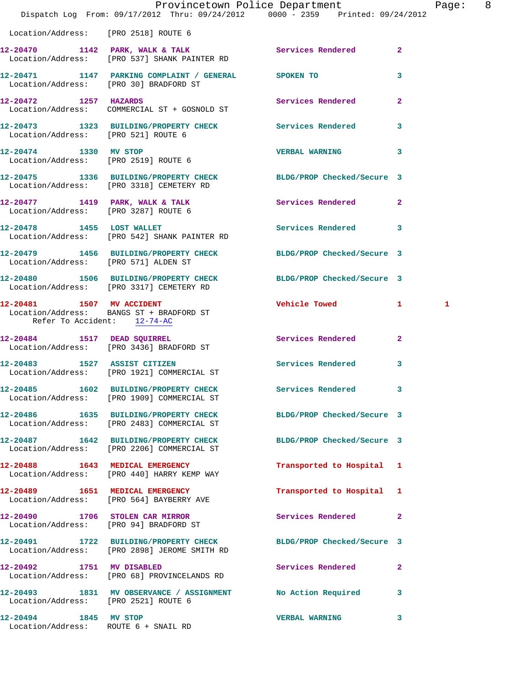|                                                               | Dispatch Log From: 09/17/2012 Thru: 09/24/2012 0000 - 2359 Printed: 09/24/2012                                 | Provincetown Police Department |                | Page: 8 |  |
|---------------------------------------------------------------|----------------------------------------------------------------------------------------------------------------|--------------------------------|----------------|---------|--|
| Location/Address: [PRO 2518] ROUTE 6                          |                                                                                                                |                                |                |         |  |
|                                                               | 12-20470 1142 PARK, WALK & TALK Services Rendered 2<br>Location/Address: [PRO 537] SHANK PAINTER RD            |                                |                |         |  |
|                                                               | 12-20471 1147 PARKING COMPLAINT / GENERAL SPOKEN TO<br>Location/Address: [PRO 30] BRADFORD ST                  |                                | $\mathbf{3}$   |         |  |
|                                                               | 12-20472 1257 HAZARDS<br>Location/Address: COMMERCIAL ST + GOSNOLD ST                                          | Services Rendered              | $\overline{2}$ |         |  |
| Location/Address: [PRO 521] ROUTE 6                           | 12-20473 1323 BUILDING/PROPERTY CHECK Services Rendered 3                                                      |                                |                |         |  |
|                                                               | 12-20474 1330 MV STOP<br>Location/Address: [PRO 2519] ROUTE 6                                                  | VERBAL WARNING 3               |                |         |  |
|                                                               | 12-20475 1336 BUILDING/PROPERTY CHECK BLDG/PROP Checked/Secure 3<br>Location/Address: [PRO 3318] CEMETERY RD   |                                |                |         |  |
|                                                               | 12-20477 1419 PARK, WALK & TALK<br>Location/Address: [PRO 3287] ROUTE 6                                        | Services Rendered 2            |                |         |  |
|                                                               | 12-20478    1455    LOST WALLET<br>Location/Address: [PRO 542] SHANK PAINTER RD                                | Services Rendered 3            |                |         |  |
| Location/Address: [PRO 571] ALDEN ST                          | 12-20479 1456 BUILDING/PROPERTY CHECK BLDG/PROP Checked/Secure 3                                               |                                |                |         |  |
|                                                               | 12-20480 1506 BUILDING/PROPERTY CHECK<br>Location/Address: [PRO 3317] CEMETERY RD                              | BLDG/PROP Checked/Secure 3     |                |         |  |
| Refer To Accident: 12-74-AC                                   | 12-20481 1507 MV ACCIDENT<br>Location/Address: BANGS ST + BRADFORD ST                                          | Vehicle Towed 1                |                | 1       |  |
|                                                               | 12-20484 1517 DEAD SQUIRREL<br>Location/Address: [PRO 3436] BRADFORD ST                                        | Services Rendered 2            |                |         |  |
| 12-20483 1527 ASSIST CITIZEN                                  | Location/Address: [PRO 1921] COMMERCIAL ST                                                                     | Services Rendered 3            |                |         |  |
|                                                               | 12-20485 1602 BUILDING/PROPERTY CHECK<br>Location/Address: [PRO 1909] COMMERCIAL ST                            | Services Rendered 3            |                |         |  |
|                                                               | 12-20486 1635 BUILDING/PROPERTY CHECK<br>Location/Address: [PRO 2483] COMMERCIAL ST                            | BLDG/PROP Checked/Secure 3     |                |         |  |
|                                                               | 12-20487 1642 BUILDING/PROPERTY CHECK BLDG/PROP Checked/Secure 3<br>Location/Address: [PRO 2206] COMMERCIAL ST |                                |                |         |  |
|                                                               | 12-20488 1643 MEDICAL EMERGENCY<br>Location/Address: [PRO 440] HARRY KEMP WAY                                  | Transported to Hospital 1      |                |         |  |
|                                                               | 12-20489 1651 MEDICAL EMERGENCY<br>Location/Address: [PRO 564] BAYBERRY AVE                                    | Transported to Hospital 1      |                |         |  |
|                                                               | 12-20490 1706 STOLEN CAR MIRROR<br>Location/Address: [PRO 94] BRADFORD ST                                      | Services Rendered 2            |                |         |  |
|                                                               | 12-20491 1722 BUILDING/PROPERTY CHECK<br>Location/Address: [PRO 2898] JEROME SMITH RD                          | BLDG/PROP Checked/Secure 3     |                |         |  |
| 12-20492 1751 MV DISABLED                                     | Location/Address: [PRO 68] PROVINCELANDS RD                                                                    | Services Rendered 2            |                |         |  |
| Location/Address: [PRO 2521] ROUTE 6                          | 12-20493 1831 MV OBSERVANCE / ASSIGNMENT No Action Required                                                    |                                | 3              |         |  |
| 12-20494 1845 MV STOP<br>Location/Address: ROUTE 6 + SNAIL RD |                                                                                                                | <b>VERBAL WARNING</b>          | 3              |         |  |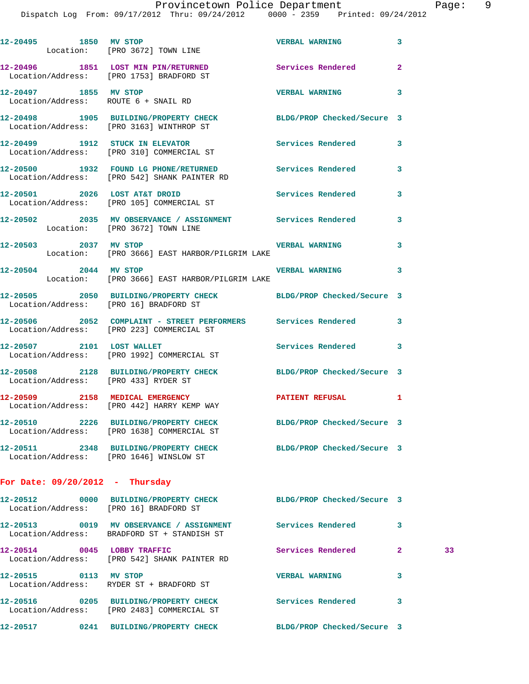Dispatch Log From: 09/17/20

|  |                       | FIOVINCECOWN FOIICE DEPAICMENC |                     |
|--|-----------------------|--------------------------------|---------------------|
|  | :012 Thru: 09/24/2012 | 0000 - 2359                    | Printed: 09/24/2012 |
|  |                       |                                |                     |
|  |                       |                                |                     |

| 12-20495 1850 MV STOP | Location: [PRO 3672] TOWN LINE                                                                               | <b>VERBAL WARNING</b>      | 3              |    |
|-----------------------|--------------------------------------------------------------------------------------------------------------|----------------------------|----------------|----|
|                       | 12-20496 1851 LOST MIN PIN/RETURNED Services Rendered<br>Location/Address: [PRO 1753] BRADFORD ST            |                            | $\overline{2}$ |    |
|                       | 12-20497 1855 MV STOP<br>Location/Address: ROUTE 6 + SNAIL RD                                                | <b>VERBAL WARNING</b>      | 3              |    |
|                       | 12-20498 1905 BUILDING/PROPERTY CHECK BLDG/PROP Checked/Secure 3<br>Location/Address: [PRO 3163] WINTHROP ST |                            |                |    |
|                       | 12-20499 1912 STUCK IN ELEVATOR Services Rendered<br>Location/Address: [PRO 310] COMMERCIAL ST               |                            | 3              |    |
|                       | 12-20500 1932 FOUND LG PHONE/RETURNED Services Rendered<br>Location/Address: [PRO 542] SHANK PAINTER RD      |                            | 3              |    |
|                       | 12-20501 2026 LOST AT&T DROID Services Rendered<br>Location/Address: [PRO 105] COMMERCIAL ST                 |                            | 3              |    |
|                       | 12-20502 2035 MV OBSERVANCE / ASSIGNMENT Services Rendered<br>Location: [PRO 3672] TOWN LINE                 |                            | 3              |    |
| 12-20503 2037 MV STOP | Location: [PRO 3666] EAST HARBOR/PILGRIM LAKE                                                                | <b>VERBAL WARNING</b>      | 3              |    |
| 12-20504 2044 MV STOP | Location: [PRO 3666] EAST HARBOR/PILGRIM LAKE                                                                | <b>VERBAL WARNING</b>      | 3              |    |
|                       | 12-20505 2050 BUILDING/PROPERTY CHECK BLDG/PROP Checked/Secure 3<br>Location/Address: [PRO 16] BRADFORD ST   |                            |                |    |
|                       | 12-20506 2052 COMPLAINT - STREET PERFORMERS Services Rendered<br>Location/Address: [PRO 223] COMMERCIAL ST   |                            | 3              |    |
|                       | 12-20507 2101 LOST WALLET<br>Location/Address: [PRO 1992] COMMERCIAL ST                                      | Services Rendered          | 3              |    |
|                       | 12-20508 2128 BUILDING/PROPERTY CHECK BLDG/PROP Checked/Secure 3<br>Location/Address: [PRO 433] RYDER ST     |                            |                |    |
|                       | 12-20509 2158 MEDICAL EMERGENCY PATIENT REFUSAL<br>Location/Address: [PRO 442] HARRY KEMP WAY                |                            | 1              |    |
|                       | 12-20510 2226 BUILDING/PROPERTY CHECK<br>Location/Address: [PRO 1638] COMMERCIAL ST                          | BLDG/PROP Checked/Secure 3 |                |    |
|                       | 12-20511 2348 BUILDING/PROPERTY CHECK BLDG/PROP Checked/Secure 3<br>Location/Address: [PRO 1646] WINSLOW ST  |                            |                |    |
|                       | For Date: $09/20/2012$ - Thursday                                                                            |                            |                |    |
|                       | 12-20512 0000 BUILDING/PROPERTY CHECK BLDG/PROP Checked/Secure 3<br>Location/Address: [PRO 16] BRADFORD ST   |                            |                |    |
|                       | 12-20513 0019 MV OBSERVANCE / ASSIGNMENT Services Rendered<br>Location/Address: BRADFORD ST + STANDISH ST    |                            | 3              |    |
|                       | 12-20514 0045 LOBBY TRAFFIC<br>Location/Address: [PRO 542] SHANK PAINTER RD                                  | Services Rendered          | $\mathbf{2}$   | 33 |
| 12-20515 0113 MV STOP | Location/Address: RYDER ST + BRADFORD ST                                                                     | <b>VERBAL WARNING</b>      | 3              |    |
|                       | 12-20516 0205 BUILDING/PROPERTY CHECK<br>Location/Address: [PRO 2483] COMMERCIAL ST                          | <b>Services Rendered</b>   | 3              |    |
|                       | 12-20517 0241 BUILDING/PROPERTY CHECK BLDG/PROP Checked/Secure 3                                             |                            |                |    |
|                       |                                                                                                              |                            |                |    |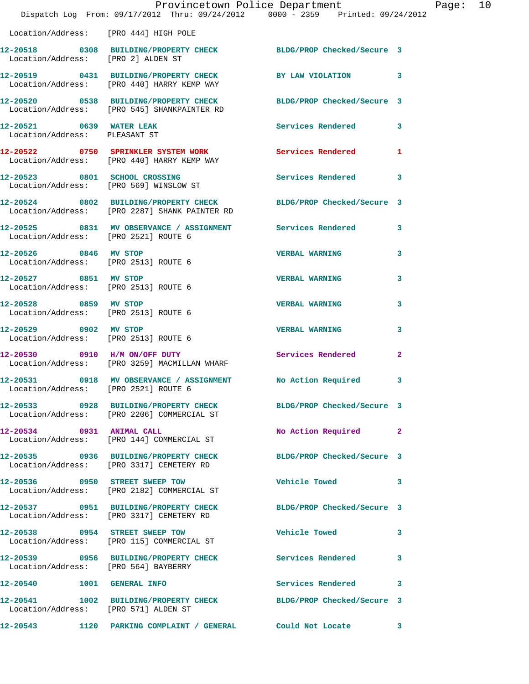|                                                                         | Provincetown Police Department<br>Dispatch Log From: 09/17/2012 Thru: 09/24/2012 0000 - 2359 Printed: 09/24/2012 |                            |              |
|-------------------------------------------------------------------------|------------------------------------------------------------------------------------------------------------------|----------------------------|--------------|
|                                                                         |                                                                                                                  |                            |              |
| Location/Address: [PRO 444] HIGH POLE                                   |                                                                                                                  |                            |              |
| Location/Address: [PRO 2] ALDEN ST                                      | 12-20518 0308 BUILDING/PROPERTY CHECK BLDG/PROP Checked/Secure 3                                                 |                            |              |
|                                                                         | 12-20519 0431 BUILDING/PROPERTY CHECK<br>Location/Address: [PRO 440] HARRY KEMP WAY                              | BY LAW VIOLATION           | 3            |
|                                                                         | 12-20520 0538 BUILDING/PROPERTY CHECK BLDG/PROP Checked/Secure 3<br>Location/Address: [PRO 545] SHANKPAINTER RD  |                            |              |
| 12-20521 0639 WATER LEAK<br>Location/Address: PLEASANT ST               |                                                                                                                  | Services Rendered          | 3            |
|                                                                         | 12-20522 0750 SPRINKLER SYSTEM WORK<br>Location/Address: [PRO 440] HARRY KEMP WAY                                | <b>Services Rendered</b>   | 1            |
| 12-20523 0801 SCHOOL CROSSING<br>Location/Address: [PRO 569] WINSLOW ST |                                                                                                                  | <b>Services Rendered</b>   | 3            |
|                                                                         | 12-20524 0802 BUILDING/PROPERTY CHECK<br>Location/Address: [PRO 2287] SHANK PAINTER RD                           | BLDG/PROP Checked/Secure 3 |              |
| Location/Address: [PRO 2521] ROUTE 6                                    | 12-20525 0831 MV OBSERVANCE / ASSIGNMENT Services Rendered                                                       |                            | 3            |
| 12-20526 0846 MV STOP<br>Location/Address: [PRO 2513] ROUTE 6           |                                                                                                                  | <b>VERBAL WARNING</b>      | 3            |
| 12-20527 0851 MV STOP<br>Location/Address: [PRO 2513] ROUTE 6           |                                                                                                                  | <b>VERBAL WARNING</b>      | 3            |
| 12-20528 0859 MV STOP<br>Location/Address: [PRO 2513] ROUTE 6           |                                                                                                                  | <b>VERBAL WARNING</b>      | 3            |
| 12-20529 0902 MV STOP<br>Location/Address: [PRO 2513] ROUTE 6           |                                                                                                                  | <b>VERBAL WARNING</b>      | 3            |
|                                                                         | 12-20530 0910 H/M ON/OFF DUTY<br>Location/Address: [PRO 3259] MACMILLAN WHARF                                    | <b>Services Rendered</b>   | $\mathbf{2}$ |
| 12-20531<br>Location/Address: [PRO 2521] ROUTE 6                        | 0918 MV OBSERVANCE / ASSIGNMENT No Action Required                                                               |                            | 3            |
|                                                                         | 12-20533 0928 BUILDING/PROPERTY CHECK BLDG/PROP Checked/Secure 3<br>Location/Address: [PRO 2206] COMMERCIAL ST   |                            |              |
| 12-20534 0931 ANIMAL CALL                                               | Location/Address: [PRO 144] COMMERCIAL ST                                                                        | No Action Required         | 2            |
|                                                                         | 12-20535 0936 BUILDING/PROPERTY CHECK<br>Location/Address: [PRO 3317] CEMETERY RD                                | BLDG/PROP Checked/Secure 3 |              |
|                                                                         | 12-20536 0950 STREET SWEEP TOW<br>Location/Address: [PRO 2182] COMMERCIAL ST                                     | Vehicle Towed              | 3            |
|                                                                         | 12-20537 0951 BUILDING/PROPERTY CHECK<br>Location/Address: [PRO 3317] CEMETERY RD                                | BLDG/PROP Checked/Secure 3 |              |
|                                                                         | 12-20538 0954 STREET SWEEP TOW<br>Location/Address: [PRO 115] COMMERCIAL ST                                      | <b>Vehicle Towed</b>       | 3            |
| Location/Address: [PRO 564] BAYBERRY                                    | 12-20539 0956 BUILDING/PROPERTY CHECK                                                                            | Services Rendered          | 3            |
| 12-20540   1001   GENERAL INFO                                          |                                                                                                                  | Services Rendered          | 3            |
| Location/Address: [PRO 571] ALDEN ST                                    | 12-20541 1002 BUILDING/PROPERTY CHECK BLDG/PROP Checked/Secure 3                                                 |                            |              |
|                                                                         |                                                                                                                  |                            | $\mathbf{3}$ |

Page: 10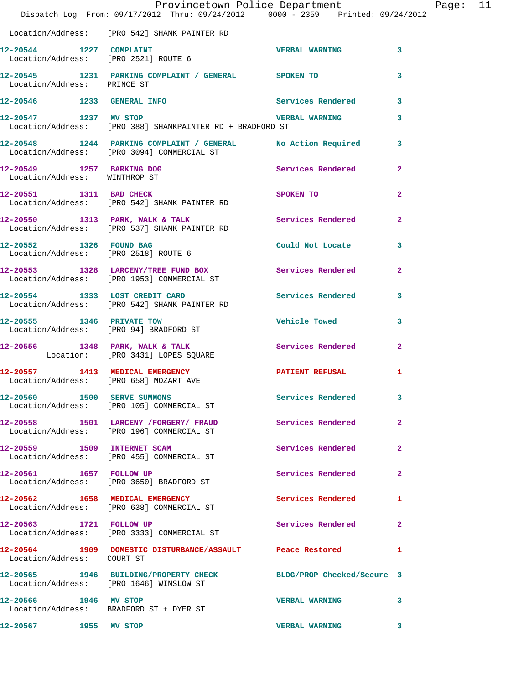|                               | Provincetown Police Department Page: 11<br>Dispatch Log From: 09/17/2012 Thru: 09/24/2012 0000 - 2359 Printed: 09/24/2012 |                          |                |  |
|-------------------------------|---------------------------------------------------------------------------------------------------------------------------|--------------------------|----------------|--|
|                               | Location/Address: [PRO 542] SHANK PAINTER RD                                                                              |                          |                |  |
| 12-20544 1227 COMPLAINT       | Location/Address: [PRO 2521] ROUTE 6                                                                                      | <b>VERBAL WARNING</b> 3  |                |  |
| Location/Address: PRINCE ST   | 12-20545 1231 PARKING COMPLAINT / GENERAL SPOKEN TO                                                                       |                          | 3              |  |
|                               | 12-20546 1233 GENERAL INFO                                                                                                | Services Rendered 3      |                |  |
|                               | Location/Address: [PRO 388] SHANKPAINTER RD + BRADFORD ST                                                                 |                          | 3              |  |
|                               | 12-20548 1244 PARKING COMPLAINT / GENERAL No Action Required 3<br>Location/Address: [PRO 3094] COMMERCIAL ST              |                          |                |  |
| Location/Address: WINTHROP ST | 12-20549 1257 BARKING DOG Services Rendered                                                                               |                          | $\mathbf{2}$   |  |
|                               | 12-20551 1311 BAD CHECK<br>Location/Address: [PRO 542] SHANK PAINTER RD                                                   | SPOKEN TO                | $\overline{2}$ |  |
|                               | 12-20550 1313 PARK, WALK & TALK 1988 Services Rendered<br>Location/Address: [PRO 537] SHANK PAINTER RD                    |                          | $\overline{2}$ |  |
| 12-20552 1326 FOUND BAG       | Could Not Locate 3<br>Location/Address: [PRO 2518] ROUTE 6                                                                |                          |                |  |
|                               | 12-20553 1328 LARCENY/TREE FUND BOX Services Rendered 2<br>Location/Address: [PRO 1953] COMMERCIAL ST                     |                          |                |  |
|                               | 12-20554 1333 LOST CREDIT CARD Services Rendered<br>Location/Address: [PRO 542] SHANK PAINTER RD                          |                          | 3              |  |
|                               | 12-20555            1346    PRIVATE TOW<br>Location/Address:     [PRO 94] BRADFORD ST                                     | Vehicle Towed            | 3              |  |
|                               | 12-20556 1348 PARK, WALK & TALK 1988 Services Rendered<br>Location: [PRO 3431] LOPES SQUARE                               |                          | $\mathbf{2}$   |  |
|                               | 12-20557 1413 MEDICAL EMERGENCY <b>PATIENT REFUSAL</b><br>Location/Address: [PRO 658] MOZART AVE                          |                          | 1              |  |
|                               | 12-20560 1500 SERVE SUMMONS<br>Location/Address: [PRO 105] COMMERCIAL ST                                                  | Services Rendered 3      |                |  |
|                               | 12-20558 1501 LARCENY / FORGERY / FRAUD Services Rendered<br>Location/Address: [PRO 196] COMMERCIAL ST                    |                          | $\mathbf{2}$   |  |
| 12-20559 1509 INTERNET SCAM   | Location/Address: [PRO 455] COMMERCIAL ST                                                                                 | Services Rendered        | $\mathbf{2}$   |  |
|                               | 12-20561 1657 FOLLOW UP<br>Location/Address: [PRO 3650] BRADFORD ST                                                       | Services Rendered        | 2              |  |
|                               | 12-20562 1658 MEDICAL EMERGENCY<br>Location/Address: [PRO 638] COMMERCIAL ST                                              | <b>Services Rendered</b> | 1              |  |
|                               | 12-20563 1721 FOLLOW UP<br>Location/Address: [PRO 3333] COMMERCIAL ST                                                     | Services Rendered        | $\mathbf{2}$   |  |
| Location/Address: COURT ST    | 12-20564 1909 DOMESTIC DISTURBANCE/ASSAULT Peace Restored                                                                 |                          | 1              |  |
|                               | 12-20565 1946 BUILDING/PROPERTY CHECK BLDG/PROP Checked/Secure 3<br>Location/Address: [PRO 1646] WINSLOW ST               |                          |                |  |
| 12-20566 1946 MV STOP         | Location/Address: BRADFORD ST + DYER ST                                                                                   | <b>VERBAL WARNING</b>    | 3              |  |
| 12-20567 1955 MV STOP         |                                                                                                                           | <b>VERBAL WARNING</b>    | 3              |  |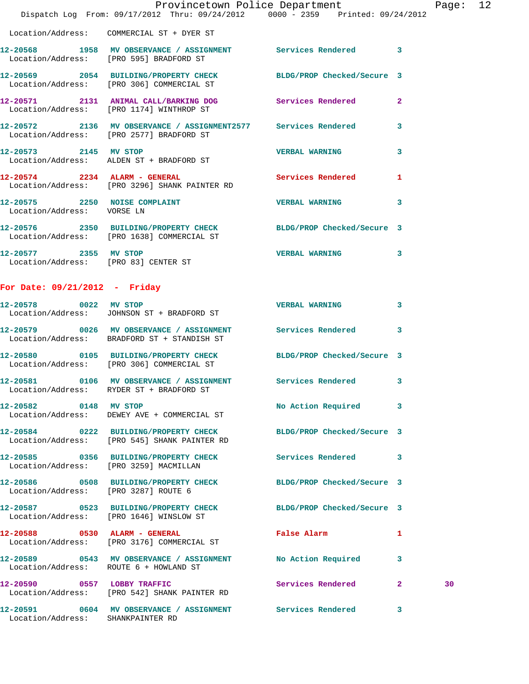|                                                               | Dispatch Log From: 09/17/2012 Thru: 09/24/2012 0000 - 2359 Printed: 09/24/2012                                 | Provincetown Police Department | Page: 12                |
|---------------------------------------------------------------|----------------------------------------------------------------------------------------------------------------|--------------------------------|-------------------------|
|                                                               | Location/Address: COMMERCIAL ST + DYER ST                                                                      |                                |                         |
|                                                               | 12-20568 1958 MV OBSERVANCE / ASSIGNMENT Services Rendered 3<br>Location/Address: [PRO 595] BRADFORD ST        |                                |                         |
|                                                               | 12-20569 2054 BUILDING/PROPERTY CHECK BLDG/PROP Checked/Secure 3<br>Location/Address: [PRO 306] COMMERCIAL ST  |                                |                         |
|                                                               | 12-20571 2131 ANIMAL CALL/BARKING DOG Services Rendered<br>Location/Address: [PRO 1174] WINTHROP ST            |                                | $\overline{2}$          |
|                                                               | 12-20572 2136 MV OBSERVANCE / ASSIGNMENT2577 Services Rendered<br>Location/Address: [PRO 2577] BRADFORD ST     |                                | $\overline{\mathbf{3}}$ |
|                                                               | 12-20573 2145 MV STOP<br>Location/Address: ALDEN ST + BRADFORD ST                                              | <b>VERBAL WARNING</b>          | 3                       |
|                                                               | 12-20574 2234 ALARM - GENERAL<br>Location/Address: [PRO 3296] SHANK PAINTER RD                                 | <b>Services Rendered</b>       | $\mathbf{1}$            |
| Location/Address: VORSE LN                                    | 12-20575 2250 NOISE COMPLAINT NERBAL WARNING                                                                   |                                | 3                       |
|                                                               | 12-20576 2350 BUILDING/PROPERTY CHECK BLDG/PROP Checked/Secure 3<br>Location/Address: [PRO 1638] COMMERCIAL ST |                                |                         |
| 12-20577 2355 MV STOP<br>Location/Address: [PRO 83] CENTER ST |                                                                                                                | <b>VERBAL WARNING</b>          | 3                       |

## **For Date: 09/21/2012 - Friday**

Location/Address: SHANKPAINTER RD

| 12-20578 0022 MV STOP                  | Location/Address: JOHNSON ST + BRADFORD ST                                                                | <b>VERBAL WARNING</b>      | $\overline{\mathbf{3}}$ |    |
|----------------------------------------|-----------------------------------------------------------------------------------------------------------|----------------------------|-------------------------|----|
|                                        | 12-20579 0026 MV OBSERVANCE / ASSIGNMENT Services Rendered<br>Location/Address: BRADFORD ST + STANDISH ST |                            | $\overline{3}$          |    |
|                                        | 12-20580 0105 BUILDING/PROPERTY CHECK<br>Location/Address: [PRO 306] COMMERCIAL ST                        | BLDG/PROP Checked/Secure 3 |                         |    |
|                                        | 12-20581 0106 MV OBSERVANCE / ASSIGNMENT Services Rendered<br>Location/Address: RYDER ST + BRADFORD ST    |                            | $\mathbf{3}$            |    |
| 12-20582 0148 MV STOP                  | Location/Address: DEWEY AVE + COMMERCIAL ST                                                               | No Action Required         | $\overline{\mathbf{3}}$ |    |
|                                        | 12-20584 0222 BUILDING/PROPERTY CHECK<br>Location/Address: [PRO 545] SHANK PAINTER RD                     | BLDG/PROP Checked/Secure 3 |                         |    |
| Location/Address: [PRO 3259] MACMILLAN | 12-20585 0356 BUILDING/PROPERTY CHECK                                                                     | Services Rendered 3        |                         |    |
| Location/Address: [PRO 3287] ROUTE 6   | 12-20586 0508 BUILDING/PROPERTY CHECK BLDG/PROP Checked/Secure 3                                          |                            |                         |    |
|                                        | 12-20587 0523 BUILDING/PROPERTY CHECK<br>Location/Address: [PRO 1646] WINSLOW ST                          | BLDG/PROP Checked/Secure 3 |                         |    |
|                                        | 12-20588 0530 ALARM - GENERAL<br>Location/Address: [PRO 3176] COMMERCIAL ST                               | <b>False Alarm</b>         | $\mathbf{1}$            |    |
| Location/Address: ROUTE 6 + HOWLAND ST | 12-20589 0543 MV OBSERVANCE / ASSIGNMENT No Action Required                                               |                            | $\overline{\mathbf{3}}$ |    |
|                                        | 12-20590 0557 LOBBY TRAFFIC<br>Location/Address: [PRO 542] SHANK PAINTER RD                               | Services Rendered          | $\overline{2}$          | 30 |
|                                        | 12-20591 0604 MV OBSERVANCE / ASSIGNMENT Services Rendered                                                |                            | 3                       |    |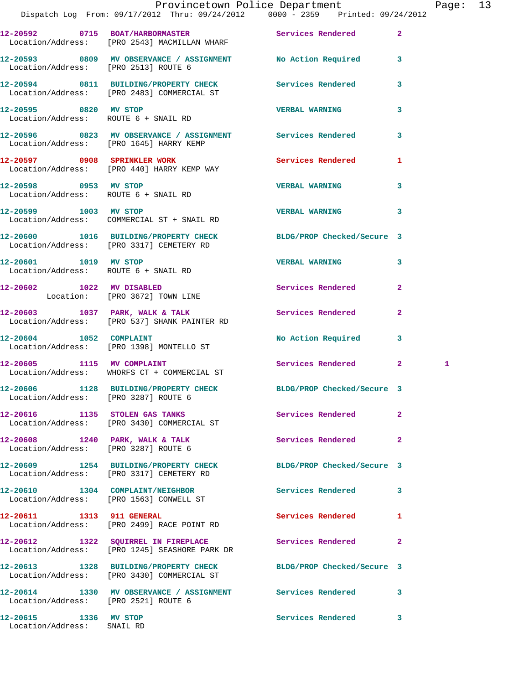|                                                                         |                                                                                                              | Provincetown Police Department Page: 13 |                         |   |  |
|-------------------------------------------------------------------------|--------------------------------------------------------------------------------------------------------------|-----------------------------------------|-------------------------|---|--|
|                                                                         | Dispatch Log From: 09/17/2012 Thru: 09/24/2012 0000 - 2359 Printed: 09/24/2012                               |                                         |                         |   |  |
|                                                                         | 12-20592 0715 BOAT/HARBORMASTER Services Rendered 2<br>Location/Address: [PRO 2543] MACMILLAN WHARF          |                                         |                         |   |  |
|                                                                         | 12-20593 0809 MV OBSERVANCE / ASSIGNMENT No Action Required 3<br>Location/Address: [PRO 2513] ROUTE 6        |                                         |                         |   |  |
|                                                                         | 12-20594 0811 BUILDING/PROPERTY CHECK Services Rendered 3<br>Location/Address: [PRO 2483] COMMERCIAL ST      |                                         |                         |   |  |
| 12-20595 0820 MV STOP                                                   | Location/Address: ROUTE 6 + SNAIL RD                                                                         | <b>VERBAL WARNING</b>                   | $\overline{\mathbf{3}}$ |   |  |
|                                                                         | 12-20596 0823 MV OBSERVANCE / ASSIGNMENT Services Rendered 3<br>Location/Address: [PRO 1645] HARRY KEMP      |                                         |                         |   |  |
|                                                                         | 12-20597 0908 SPRINKLER WORK Services Rendered 1<br>Location/Address: [PRO 440] HARRY KEMP WAY               |                                         |                         |   |  |
| Location/Address: ROUTE 6 + SNAIL RD                                    | 12-20598 0953 MV STOP                                                                                        | <b>VERBAL WARNING</b>                   | 3                       |   |  |
|                                                                         | 12-20599 1003 MV STOP<br>Location/Address: COMMERCIAL ST + SNAIL RD                                          | VERBAL WARNING 3                        |                         |   |  |
|                                                                         | 12-20600 1016 BUILDING/PROPERTY CHECK BLDG/PROP Checked/Secure 3<br>Location/Address: [PRO 3317] CEMETERY RD |                                         |                         |   |  |
| Location/Address: ROUTE 6 + SNAIL RD                                    | 12-20601 1019 MV STOP                                                                                        | <b>VERBAL WARNING</b>                   | 3                       |   |  |
|                                                                         | 12-20602 1022 MV DISABLED<br>Location: [PRO 3672] TOWN LINE                                                  | Services Rendered                       | $\mathbf{2}$            |   |  |
|                                                                         | $12-20603$ 1037 PARK, WALK & TALK<br>Location/Address: [PRO 537] SHANK PAINTER RD                            | Services Rendered                       | $\mathbf{2}$            |   |  |
|                                                                         | 12-20604 1052 COMPLAINT<br>Location/Address: [PRO 1398] MONTELLO ST                                          | No Action Required 3                    |                         |   |  |
|                                                                         | 12-20605 1115 MV COMPLAINT<br>Location/Address: WHORFS CT + COMMERCIAL ST                                    | Services Rendered 2                     |                         | 1 |  |
| Location/Address: [PRO 3287] ROUTE 6                                    | 12-20606 1128 BUILDING/PROPERTY CHECK                                                                        | BLDG/PROP Checked/Secure 3              |                         |   |  |
| 12-20616 1135 STOLEN GAS TANKS                                          | Location/Address: [PRO 3430] COMMERCIAL ST                                                                   | Services Rendered                       | $\mathbf{2}$            |   |  |
| 12-20608 1240 PARK, WALK & TALK<br>Location/Address: [PRO 3287] ROUTE 6 |                                                                                                              | Services Rendered                       | $\mathbf{2}$            |   |  |
|                                                                         | 12-20609 1254 BUILDING/PROPERTY CHECK<br>Location/Address: [PRO 3317] CEMETERY RD                            | BLDG/PROP Checked/Secure 3              |                         |   |  |
| 12-20610<br>1304                                                        | COMPLAINT/NEIGHBOR                                                                                           | <b>Services Rendered</b>                | 3                       |   |  |

Location/Address: [PRO 1563] CONWELL ST

Location/Address: [PRO 2499] RACE POINT RD

Location/Address: [PRO 1245] SEASHORE PARK DR

**12-20614 1330 MV OBSERVANCE / ASSIGNMENT Services Rendered 3**  Location/Address: [PRO 2521] ROUTE 6

Location/Address: SNAIL RD

**12-20611 1313 911 GENERAL Services Rendered 1** 

**12-20612 1322 SQUIRREL IN FIREPLACE Services Rendered 2** 

**12-20613 1328 BUILDING/PROPERTY CHECK BLDG/PROP Checked/Secure 3** 

Location/Address: [PRO 3430] COMMERCIAL ST

**12-20615 1336 MV STOP Services Rendered 3**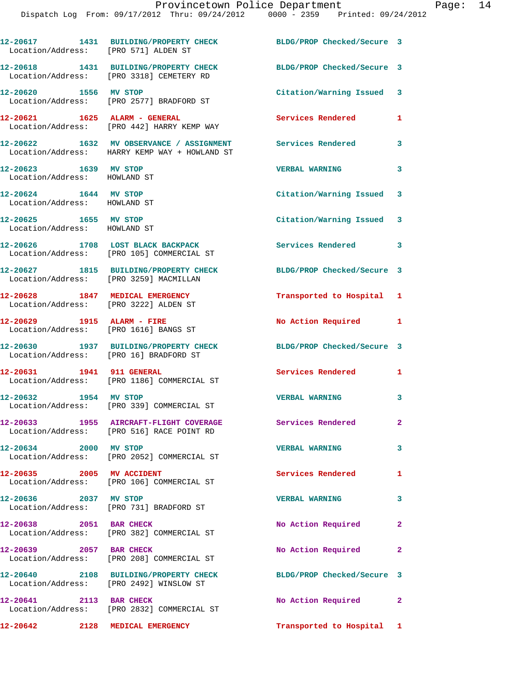| Location/Address: [PRO 571] ALDEN ST                                     | 12-20617 1431 BUILDING/PROPERTY CHECK                                                                       | BLDG/PROP Checked/Secure 3 |                |
|--------------------------------------------------------------------------|-------------------------------------------------------------------------------------------------------------|----------------------------|----------------|
|                                                                          | 12-20618 1431 BUILDING/PROPERTY CHECK<br>Location/Address: [PRO 3318] CEMETERY RD                           | BLDG/PROP Checked/Secure 3 |                |
| 12-20620 1556 MV STOP                                                    | Location/Address: [PRO 2577] BRADFORD ST                                                                    | Citation/Warning Issued 3  |                |
| 12-20621 1625 ALARM - GENERAL                                            | Location/Address: [PRO 442] HARRY KEMP WAY                                                                  | <b>Services Rendered</b>   | $\mathbf{1}$   |
|                                                                          | 12-20622 1632 MV OBSERVANCE / ASSIGNMENT Services Rendered<br>Location/Address: HARRY KEMP WAY + HOWLAND ST |                            | 3              |
| 12-20623 1639 MV STOP<br>Location/Address: HOWLAND ST                    |                                                                                                             | <b>VERBAL WARNING</b>      | 3              |
| 12-20624 1644 MV STOP<br>Location/Address: HOWLAND ST                    |                                                                                                             | Citation/Warning Issued 3  |                |
| 12-20625 1655 MV STOP<br>Location/Address: HOWLAND ST                    |                                                                                                             | Citation/Warning Issued 3  |                |
|                                                                          | 12-20626 1708 LOST BLACK BACKPACK<br>Location/Address: [PRO 105] COMMERCIAL ST                              | <b>Services Rendered</b>   | $\mathbf{3}$   |
| Location/Address: [PRO 3259] MACMILLAN                                   | 12-20627 1815 BUILDING/PROPERTY CHECK                                                                       | BLDG/PROP Checked/Secure 3 |                |
| 12-20628 1847 MEDICAL EMERGENCY<br>Location/Address: [PRO 3222] ALDEN ST |                                                                                                             | Transported to Hospital 1  |                |
| 12-20629 1915 ALARM - FIRE<br>Location/Address: [PRO 1616] BANGS ST      |                                                                                                             | No Action Required 1       |                |
| Location/Address: [PRO 16] BRADFORD ST                                   | 12-20630 1937 BUILDING/PROPERTY CHECK                                                                       | BLDG/PROP Checked/Secure 3 |                |
| 12-20631 1941 911 GENERAL                                                | Location/Address: [PRO 1186] COMMERCIAL ST                                                                  | <b>Services Rendered</b>   | $\mathbf{1}$   |
| 12-20632 1954 MV STOP                                                    | Location/Address: [PRO 339] COMMERCIAL ST                                                                   | <b>VERBAL WARNING</b>      | 3              |
| 12-20633                                                                 | 1955 AIRCRAFT-FLIGHT COVERAGE<br>Location/Address: [PRO 516] RACE POINT RD                                  | Services Rendered          | $\mathbf{2}^-$ |
| 12-20634 2000 MV STOP                                                    | Location/Address: [PRO 2052] COMMERCIAL ST                                                                  | <b>VERBAL WARNING</b>      | 3              |
| 12-20635 2005 MV ACCIDENT                                                | Location/Address: [PRO 106] COMMERCIAL ST                                                                   | <b>Services Rendered</b>   | $\mathbf{1}$   |
| 12-20636 2037 MV STOP                                                    | Location/Address: [PRO 731] BRADFORD ST                                                                     | <b>VERBAL WARNING</b>      | 3              |
| 12-20638 2051 BAR CHECK                                                  | Location/Address: [PRO 382] COMMERCIAL ST                                                                   | No Action Required         | $\mathbf{2}$   |
| 12-20639 2057 BAR CHECK                                                  | Location/Address: [PRO 208] COMMERCIAL ST                                                                   | No Action Required         | $\mathbf{2}$   |
|                                                                          | 12-20640 2108 BUILDING/PROPERTY CHECK<br>Location/Address: [PRO 2492] WINSLOW ST                            | BLDG/PROP Checked/Secure 3 |                |
| 12-20641 2113 BAR CHECK                                                  | Location/Address: [PRO 2832] COMMERCIAL ST                                                                  | No Action Required 2       |                |
| 12-20642 2128 MEDICAL EMERGENCY                                          |                                                                                                             | Transported to Hospital 1  |                |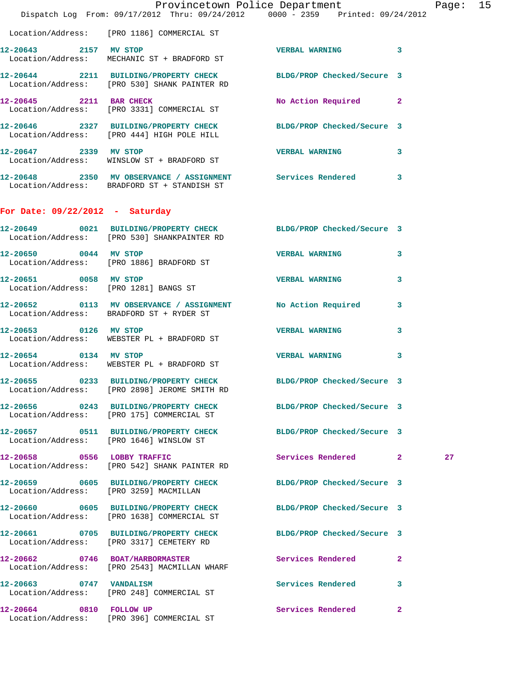|                                   | Provincetown Police Department The Rage: 15<br>Dispatch Log From: 09/17/2012 Thru: 09/24/2012 0000 - 2359 Printed: 09/24/2012 |                            |                         |
|-----------------------------------|-------------------------------------------------------------------------------------------------------------------------------|----------------------------|-------------------------|
|                                   | Location/Address: [PRO 1186] COMMERCIAL ST                                                                                    |                            |                         |
|                                   | 12-20643 2157 MV STOP<br>Location/Address: MECHANIC ST + BRADFORD ST                                                          | VERBAL WARNING 3           |                         |
|                                   | 12-20644 2211 BUILDING/PROPERTY CHECK BLDG/PROP Checked/Secure 3<br>Location/Address: [PRO 530] SHANK PAINTER RD              |                            |                         |
|                                   | 12-20645 2211 BAR CHECK<br>Location/Address: [PRO 3331] COMMERCIAL ST                                                         | No Action Required 2       |                         |
|                                   | 12-20646 2327 BUILDING/PROPERTY CHECK BLDG/PROP Checked/Secure 3<br>Location/Address: [PRO 444] HIGH POLE HILL                |                            |                         |
|                                   | 12-20647 2339 MV STOP<br>Location/Address: WINSLOW ST + BRADFORD ST                                                           | VERBAL WARNING 3           |                         |
|                                   | 12-20648 2350 MV OBSERVANCE / ASSIGNMENT Services Rendered 3<br>Location/Address: BRADFORD ST + STANDISH ST                   |                            |                         |
| For Date: $09/22/2012$ - Saturday |                                                                                                                               |                            |                         |
|                                   | 12-20649 0021 BUILDING/PROPERTY CHECK BLDG/PROP Checked/Secure 3<br>Location/Address: [PRO 530] SHANKPAINTER RD               |                            |                         |
|                                   | 12-20650 0044 MV STOP<br>Location/Address: [PRO 1886] BRADFORD ST                                                             | <b>VERBAL WARNING</b>      | $\overline{\mathbf{3}}$ |
| 12-20651 0058 MV STOP             | Location/Address: [PRO 1281] BANGS ST                                                                                         | VERBAL WARNING 3           |                         |
|                                   | 12-20652 0113 MV OBSERVANCE / ASSIGNMENT<br>Location/Address: BRADFORD ST + RYDER ST                                          | No Action Required 3       |                         |
| 12-20653 0126 MV STOP             | Location/Address: WEBSTER PL + BRADFORD ST                                                                                    | <b>VERBAL WARNING</b>      | 3                       |
| 12-20654 0134 MV STOP             | Location/Address: WEBSTER PL + BRADFORD ST                                                                                    | VERBAL WARNING 3           |                         |
|                                   | 12-20655 0233 BUILDING/PROPERTY CHECK BLDG/PROP Checked/Secure 3<br>Location/Address: [PRO 2898] JEROME SMITH RD              |                            |                         |
|                                   | 12-20656 0243 BUILDING/PROPERTY CHECK<br>Location/Address: [PRO 175] COMMERCIAL ST                                            | BLDG/PROP Checked/Secure 3 |                         |
|                                   | 12-20657 0511 BUILDING/PROPERTY CHECK BLDG/PROP Checked/Secure 3<br>Location/Address: [PRO 1646] WINSLOW ST                   |                            |                         |
| 12-20658 0556 LOBBY TRAFFIC       | Location/Address: [PRO 542] SHANK PAINTER RD                                                                                  | Services Rendered 2        | 27                      |
|                                   | 12-20659 0605 BUILDING/PROPERTY CHECK BLDG/PROP Checked/Secure 3<br>Location/Address: [PRO 3259] MACMILLAN                    |                            |                         |
|                                   | 12-20660 0605 BUILDING/PROPERTY CHECK<br>Location/Address: [PRO 1638] COMMERCIAL ST                                           | BLDG/PROP Checked/Secure 3 |                         |
|                                   | 12-20661 0705 BUILDING/PROPERTY CHECK<br>Location/Address: [PRO 3317] CEMETERY RD                                             | BLDG/PROP Checked/Secure 3 |                         |
|                                   | 12-20662 0746 BOAT/HARBORMASTER<br>Location/Address: [PRO 2543] MACMILLAN WHARF                                               | Services Rendered          | $\mathbf{2}$            |
|                                   | 12-20663 0747 VANDALISM<br>Location/Address: [PRO 248] COMMERCIAL ST                                                          | Services Rendered          | 3                       |
| 12-20664 0810 FOLLOW UP           |                                                                                                                               | Services Rendered 2        |                         |

Location/Address: [PRO 396] COMMERCIAL ST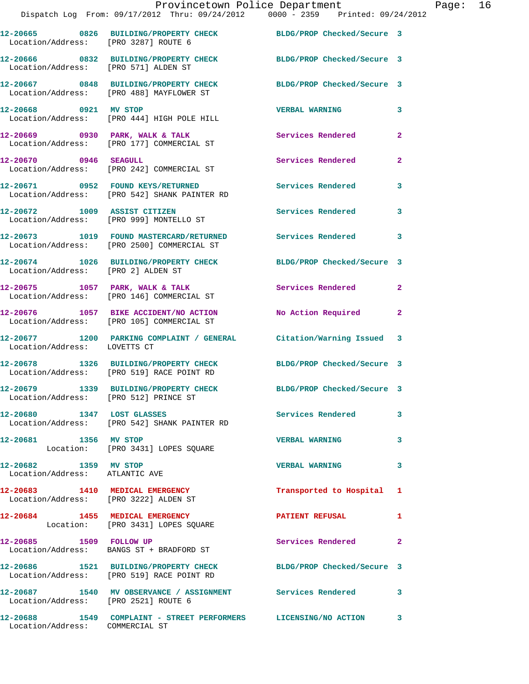|                                                         | Provincetown Police Department                                                                                |                          |                |
|---------------------------------------------------------|---------------------------------------------------------------------------------------------------------------|--------------------------|----------------|
|                                                         | Dispatch Log From: 09/17/2012 Thru: 09/24/2012 0000 - 2359 Printed: 09/24/2012                                |                          |                |
|                                                         | 12-20665 0826 BUILDING/PROPERTY CHECK BLDG/PROP Checked/Secure 3<br>Location/Address: [PRO 3287] ROUTE 6      |                          |                |
|                                                         | 12-20666 0832 BUILDING/PROPERTY CHECK BLDG/PROP Checked/Secure 3<br>Location/Address: [PRO 571] ALDEN ST      |                          |                |
|                                                         | 12-20667 0848 BUILDING/PROPERTY CHECK BLDG/PROP Checked/Secure 3<br>Location/Address: [PRO 488] MAYFLOWER ST  |                          |                |
| 12-20668 0921 MV STOP                                   | Location/Address: [PRO 444] HIGH POLE HILL                                                                    | <b>VERBAL WARNING</b>    | 3              |
|                                                         | 12-20669 0930 PARK, WALK & TALK Services Rendered<br>Location/Address: [PRO 177] COMMERCIAL ST                |                          | $\mathbf{2}$   |
| 12-20670 0946 SEAGULL                                   | Location/Address: [PRO 242] COMMERCIAL ST                                                                     | Services Rendered        | $\overline{a}$ |
|                                                         | 12-20671 0952 FOUND KEYS/RETURNED Services Rendered<br>Location/Address: [PRO 542] SHANK PAINTER RD           |                          | 3              |
|                                                         | 12-20672 1009 ASSIST CITIZEN<br>Location/Address: [PRO 999] MONTELLO ST                                       | Services Rendered        | 3              |
|                                                         | 12-20673 1019 FOUND MASTERCARD/RETURNED Services Rendered<br>Location/Address: [PRO 2500] COMMERCIAL ST       |                          | 3              |
| Location/Address: [PRO 2] ALDEN ST                      | 12-20674 1026 BUILDING/PROPERTY CHECK BLDG/PROP Checked/Secure 3                                              |                          |                |
|                                                         | 12-20675 1057 PARK, WALK & TALK 1999 Services Rendered<br>Location/Address: [PRO 146] COMMERCIAL ST           |                          | $\mathbf{2}$   |
|                                                         | 12-20676 1057 BIKE ACCIDENT/NO ACTION<br>Location/Address: [PRO 105] COMMERCIAL ST                            | No Action Required       | $\overline{2}$ |
| Location/Address: LOVETTS CT                            | 12-20677 1200 PARKING COMPLAINT / GENERAL Citation/Warning Issued                                             |                          | 3              |
|                                                         | 12-20678 1326 BUILDING/PROPERTY CHECK BLDG/PROP Checked/Secure 3<br>Location/Address: [PRO 519] RACE POINT RD |                          |                |
| Location/Address: [PRO 512] PRINCE ST                   | 12-20679 1339 BUILDING/PROPERTY CHECK BLDG/PROP Checked/Secure 3                                              |                          |                |
| 12-20680 1347 LOST GLASSES                              | Location/Address: [PRO 542] SHANK PAINTER RD                                                                  | <b>Services Rendered</b> | 3              |
| 12-20681 1356 MV STOP                                   | Location: [PRO 3431] LOPES SQUARE                                                                             | <b>VERBAL WARNING</b>    | 3              |
| 12-20682 1359 MV STOP<br>Location/Address: ATLANTIC AVE |                                                                                                               | <b>VERBAL WARNING</b>    | 3              |
| Location/Address: [PRO 3222] ALDEN ST                   | 12-20683 1410 MEDICAL EMERGENCY                                                                               | Transported to Hospital  | 1              |
|                                                         | 12-20684 1455 MEDICAL EMERGENCY<br>Location: [PRO 3431] LOPES SQUARE                                          | <b>PATIENT REFUSAL</b>   | 1              |
|                                                         | 12-20685 1509 FOLLOW UP<br>Location/Address: BANGS ST + BRADFORD ST                                           | <b>Services Rendered</b> | $\mathbf{2}$   |
|                                                         | 12-20686 1521 BUILDING/PROPERTY CHECK BLDG/PROP Checked/Secure 3<br>Location/Address: [PRO 519] RACE POINT RD |                          |                |
| Location/Address: [PRO 2521] ROUTE 6                    | 12-20687 1540 MV OBSERVANCE / ASSIGNMENT Services Rendered                                                    |                          | 3              |
|                                                         | 12-20688              1549    COMPLAINT  – STREET  PERFORMERS           LICENSING/NO  ACTION                  |                          | 3              |

Location/Address: COMMERCIAL ST

Page:  $16$ <br> $12$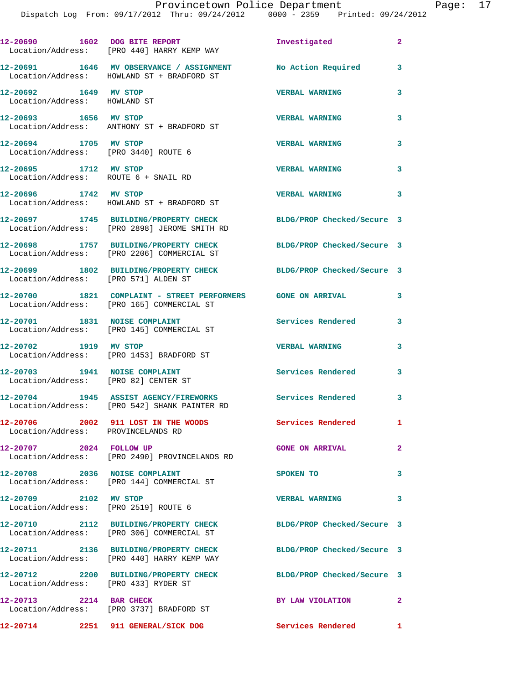|                                                                       | 12-20690 1602 DOG BITE REPORT<br>Location/Address: [PRO 440] HARRY KEMP WAY                                   | Investigated               | $\mathbf{2}$ |
|-----------------------------------------------------------------------|---------------------------------------------------------------------------------------------------------------|----------------------------|--------------|
|                                                                       | 12-20691 1646 MV OBSERVANCE / ASSIGNMENT<br>Location/Address: HOWLAND ST + BRADFORD ST                        | No Action Required         | 3            |
| 12-20692 1649 MV STOP<br>Location/Address: HOWLAND ST                 |                                                                                                               | <b>VERBAL WARNING</b>      | 3            |
| 12-20693 1656 MV STOP                                                 | Location/Address: ANTHONY ST + BRADFORD ST                                                                    | <b>VERBAL WARNING</b>      | 3            |
| 12-20694 1705 MV STOP<br>Location/Address: [PRO 3440] ROUTE 6         |                                                                                                               | <b>VERBAL WARNING</b>      | 3            |
| 12-20695 1712 MV STOP<br>Location/Address: ROUTE 6 + SNAIL RD         |                                                                                                               | <b>VERBAL WARNING</b>      | 3            |
|                                                                       | 12-20696 1742 MV STOP<br>Location/Address: HOWLAND ST + BRADFORD ST                                           | <b>VERBAL WARNING</b>      | 3            |
|                                                                       | 12-20697 1745 BUILDING/PROPERTY CHECK<br>Location/Address: [PRO 2898] JEROME SMITH RD                         | BLDG/PROP Checked/Secure 3 |              |
|                                                                       | 12-20698 1757 BUILDING/PROPERTY CHECK<br>Location/Address: [PRO 2206] COMMERCIAL ST                           | BLDG/PROP Checked/Secure 3 |              |
| Location/Address: [PRO 571] ALDEN ST                                  | 12-20699 1802 BUILDING/PROPERTY CHECK                                                                         | BLDG/PROP Checked/Secure 3 |              |
|                                                                       | 12-20700 1821 COMPLAINT - STREET PERFORMERS GONE ON ARRIVAL<br>Location/Address: [PRO 165] COMMERCIAL ST      |                            | 3            |
|                                                                       | 12-20701 1831 NOISE COMPLAINT<br>Location/Address: [PRO 145] COMMERCIAL ST                                    | Services Rendered          | 3            |
| 1919 MV STOP<br>12-20702                                              | Location/Address: [PRO 1453] BRADFORD ST                                                                      | <b>VERBAL WARNING</b>      | 3            |
| 12-20703 1941 NOISE COMPLAINT<br>Location/Address: [PRO 82] CENTER ST |                                                                                                               | <b>Services Rendered</b>   | 3            |
|                                                                       | 12-20704 1945 ASSIST AGENCY/FIREWORKS<br>Location/Address: [PRO 542] SHANK PAINTER RD                         | Services Rendered          | 3            |
| Location/Address: PROVINCELANDS RD                                    | 12-20706 2002 911 LOST IN THE WOODS                                                                           | Services Rendered          | 1            |
| 12-20707 2024 FOLLOW UP                                               | Location/Address: [PRO 2490] PROVINCELANDS RD                                                                 | <b>GONE ON ARRIVAL</b>     | $\mathbf{2}$ |
| 12-20708 2036 NOISE COMPLAINT                                         | Location/Address: [PRO 144] COMMERCIAL ST                                                                     | SPOKEN TO                  | 3            |
| 12-20709 2102 MV STOP                                                 | Location/Address: [PRO 2519] ROUTE 6                                                                          | <b>VERBAL WARNING</b>      | 3            |
|                                                                       | 12-20710 2112 BUILDING/PROPERTY CHECK BLDG/PROP Checked/Secure 3<br>Location/Address: [PRO 306] COMMERCIAL ST |                            |              |
|                                                                       | 12-20711 2136 BUILDING/PROPERTY CHECK<br>Location/Address: [PRO 440] HARRY KEMP WAY                           | BLDG/PROP Checked/Secure 3 |              |
| Location/Address: [PRO 433] RYDER ST                                  | 12-20712 2200 BUILDING/PROPERTY CHECK                                                                         | BLDG/PROP Checked/Secure 3 |              |
| 12-20713 2214 BAR CHECK                                               | Location/Address: [PRO 3737] BRADFORD ST                                                                      | BY LAW VIOLATION           | $\mathbf{2}$ |
|                                                                       | 12-20714 2251 911 GENERAL/SICK DOG                                                                            | <b>Services Rendered</b>   | 1            |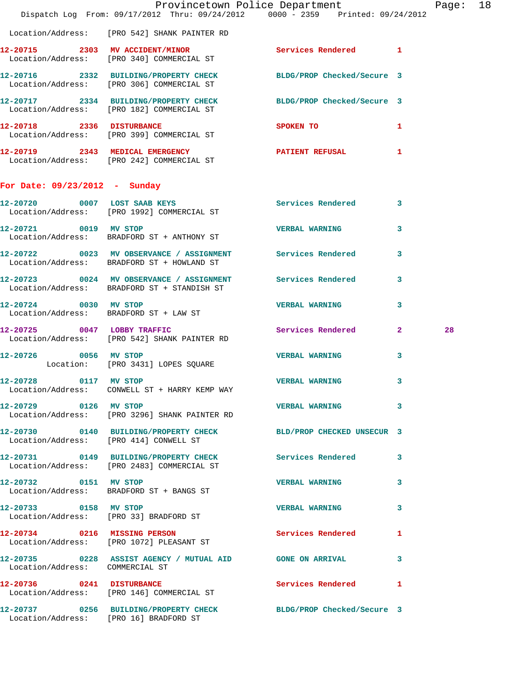|                                 | Provincetown Police Department The Rage: 18<br>Dispatch Log From: 09/17/2012 Thru: 09/24/2012   0000 - 2359   Printed: 09/24/2012 |                                                                                 |                         |    |  |
|---------------------------------|-----------------------------------------------------------------------------------------------------------------------------------|---------------------------------------------------------------------------------|-------------------------|----|--|
|                                 |                                                                                                                                   |                                                                                 |                         |    |  |
|                                 | Location/Address: [PRO 542] SHANK PAINTER RD                                                                                      |                                                                                 |                         |    |  |
|                                 | 12-20715 2303 MV ACCIDENT/MINOR Services Rendered 1<br>Location/Address: [PRO 340] COMMERCIAL ST                                  |                                                                                 |                         |    |  |
|                                 | 12-20716 2332 BUILDING/PROPERTY CHECK BLDG/PROP Checked/Secure 3<br>Location/Address: [PRO 306] COMMERCIAL ST                     |                                                                                 |                         |    |  |
|                                 | 12-20717 2334 BUILDING/PROPERTY CHECK BLDG/PROP Checked/Secure 3<br>Location/Address: [PRO 182] COMMERCIAL ST                     |                                                                                 |                         |    |  |
|                                 | 12-20718 2336 DISTURBANCE<br>Location/Address: [PRO 399] COMMERCIAL ST                                                            | SPOKEN TO AND TO A TABLE TO A TABLE TO A TABLE TO A TABLE TO A TABLE TO A TABLE | $\mathbf{1}$            |    |  |
|                                 | 12-20719 2343 MEDICAL EMERGENCY PATIENT REFUSAL 1<br>Location/Address: [PRO 242] COMMERCIAL ST                                    |                                                                                 |                         |    |  |
| For Date: 09/23/2012 - Sunday   |                                                                                                                                   |                                                                                 |                         |    |  |
|                                 | 12-20720 0007 LOST SAAB KEYS 6000 Services Rendered 3<br>Location/Address: [PRO 1992] COMMERCIAL ST                               |                                                                                 |                         |    |  |
| 12-20721 0019 MV STOP           | Location/Address: BRADFORD ST + ANTHONY ST                                                                                        | VERBAL WARNING 3                                                                |                         |    |  |
|                                 | 12-20722 0023 MV OBSERVANCE / ASSIGNMENT Services Rendered 3<br>Location/Address: BRADFORD ST + HOWLAND ST                        |                                                                                 |                         |    |  |
|                                 | 12-20723 0024 MV OBSERVANCE / ASSIGNMENT Services Rendered<br>Location/Address: BRADFORD ST + STANDISH ST                         |                                                                                 | $\overline{\mathbf{3}}$ |    |  |
|                                 | 12-20724 0030 MV STOP<br>Location/Address: BRADFORD ST + LAW ST                                                                   | <b>VERBAL WARNING</b>                                                           | $\mathbf{3}$            |    |  |
|                                 | 12-20725 0047 LOBBY TRAFFIC<br>Location/Address: [PRO 542] SHANK PAINTER RD                                                       | Services Rendered 2                                                             |                         | 28 |  |
|                                 | 12-20726 0056 MV STOP<br>Location: [PRO 3431] LOPES SQUARE                                                                        | VERBAL WARNING 3                                                                |                         |    |  |
| 12-20728 0117 MV STOP           | Location/Address: CONWELL ST + HARRY KEMP WAY                                                                                     | <b>VERBAL WARNING</b>                                                           | $\mathbf{3}$            |    |  |
| 12-20729 0126 MV STOP           | Location/Address: [PRO 3296] SHANK PAINTER RD                                                                                     | VERBAL WARNING 3                                                                |                         |    |  |
|                                 | 12-20730 0140 BUILDING/PROPERTY CHECK BLD/PROP CHECKED UNSECUR 3<br>Location/Address: [PRO 414] CONWELL ST                        |                                                                                 |                         |    |  |
|                                 | 12-20731 0149 BUILDING/PROPERTY CHECK Services Rendered 3<br>Location/Address: [PRO 2483] COMMERCIAL ST                           |                                                                                 |                         |    |  |
| 12-20732 0151 MV STOP           | Location/Address: BRADFORD ST + BANGS ST                                                                                          | VERBAL WARNING 3                                                                |                         |    |  |
| 12-20733 0158 MV STOP           | Location/Address: [PRO 33] BRADFORD ST                                                                                            | <b>VERBAL WARNING</b>                                                           | 3                       |    |  |
|                                 | 12-20734 0216 MISSING PERSON<br>Location/Address: [PRO 1072] PLEASANT ST                                                          | <b>Services Rendered</b>                                                        | ı                       |    |  |
| Location/Address: COMMERCIAL ST | 12-20735 0228 ASSIST AGENCY / MUTUAL AID GONE ON ARRIVAL                                                                          |                                                                                 | 3                       |    |  |
|                                 | 12-20736 0241 DISTURBANCE<br>Location/Address: [PRO 146] COMMERCIAL ST                                                            | <b>Services Rendered</b>                                                        | 1                       |    |  |
|                                 | 12-20737 0256 BUILDING/PROPERTY CHECK BLDG/PROP Checked/Secure 3<br>Location/Address: [PRO 16] BRADFORD ST                        |                                                                                 |                         |    |  |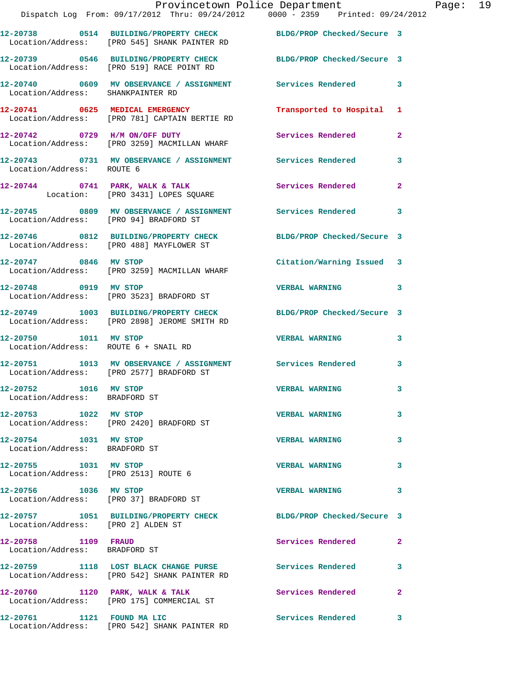|                                                                 | Provincetown Police Department Fage: 19<br>Dispatch Log From: 09/17/2012 Thru: 09/24/2012   0000 - 2359   Printed: 09/24/2012 |                           |                |  |
|-----------------------------------------------------------------|-------------------------------------------------------------------------------------------------------------------------------|---------------------------|----------------|--|
|                                                                 | 12-20738 0514 BUILDING/PROPERTY CHECK BLDG/PROP Checked/Secure 3<br>Location/Address: [PRO 545] SHANK PAINTER RD              |                           |                |  |
|                                                                 | 12-20739 0546 BUILDING/PROPERTY CHECK BLDG/PROP Checked/Secure 3<br>Location/Address: [PRO 519] RACE POINT RD                 |                           |                |  |
| Location/Address: SHANKPAINTER RD                               | 12-20740 0609 MV OBSERVANCE / ASSIGNMENT Services Rendered 3                                                                  |                           |                |  |
|                                                                 | 12-20741 0625 MEDICAL EMERGENCY Transported to Hospital 1<br>Location/Address: [PRO 781] CAPTAIN BERTIE RD                    |                           |                |  |
|                                                                 | 12-20742 0729 H/M ON/OFF DUTY Services Rendered<br>Location/Address: [PRO 3259] MACMILLAN WHARF                               |                           | $\mathbf{2}$   |  |
| Location/Address: ROUTE 6                                       | 12-20743 0731 MV OBSERVANCE / ASSIGNMENT Services Rendered 3                                                                  |                           |                |  |
|                                                                 | 12-20744 0741 PARK, WALK & TALK Services Rendered<br>Location: [PRO 3431] LOPES SQUARE                                        |                           | $\mathbf{2}$   |  |
|                                                                 | 12-20745 0809 MV OBSERVANCE / ASSIGNMENT Services Rendered 3<br>Location/Address: [PRO 94] BRADFORD ST                        |                           |                |  |
|                                                                 | 12-20746 0812 BUILDING/PROPERTY CHECK BLDG/PROP Checked/Secure 3<br>Location/Address: [PRO 488] MAYFLOWER ST                  |                           |                |  |
|                                                                 | 12-20747 0846 MV STOP<br>Location/Address: [PRO 3259] MACMILLAN WHARF                                                         | Citation/Warning Issued 3 |                |  |
|                                                                 | 12-20748 0919 MV STOP<br>Location/Address: [PRO 3523] BRADFORD ST                                                             | VERBAL WARNING 3          |                |  |
|                                                                 | 12-20749 1003 BUILDING/PROPERTY CHECK BLDG/PROP Checked/Secure 3<br>Location/Address: [PRO 2898] JEROME SMITH RD              |                           |                |  |
| 12-20750 1011 MV STOP                                           | Location/Address: ROUTE 6 + SNAIL RD                                                                                          | <b>VERBAL WARNING 3</b>   |                |  |
|                                                                 | 12-20751 1013 MV OBSERVANCE / ASSIGNMENT Services Rendered<br>Location/Address: [PRO 2577] BRADFORD ST                        |                           | 3              |  |
| 12-20752 1016 MV STOP<br>Location/Address: BRADFORD ST          |                                                                                                                               | <b>VERBAL WARNING</b>     | 3              |  |
| 12-20753 1022 MV STOP                                           | Location/Address: [PRO 2420] BRADFORD ST                                                                                      | <b>VERBAL WARNING</b>     | 3              |  |
| 12-20754 1031 MV STOP<br>Location/Address: BRADFORD ST          |                                                                                                                               | <b>VERBAL WARNING</b>     | 3              |  |
| 12-20755 1031 MV STOP<br>Location/Address: [PRO 2513] ROUTE 6   |                                                                                                                               | <b>VERBAL WARNING</b>     | 3              |  |
| 12-20756 1036 MV STOP<br>Location/Address: [PRO 37] BRADFORD ST |                                                                                                                               | <b>VERBAL WARNING</b>     | 3              |  |
| Location/Address: [PRO 2] ALDEN ST                              | 12-20757 1051 BUILDING/PROPERTY CHECK BLDG/PROP Checked/Secure 3                                                              |                           |                |  |
| 12-20758 1109 FRAUD<br>Location/Address: BRADFORD ST            |                                                                                                                               | Services Rendered         | $\overline{2}$ |  |
|                                                                 | 12-20759 1118 LOST BLACK CHANGE PURSE Services Rendered<br>Location/Address: [PRO 542] SHANK PAINTER RD                       |                           | 3              |  |
|                                                                 | $12-20760$ 1120 PARK, WALK & TALK<br>Location/Address: [PRO 175] COMMERCIAL ST                                                | <b>Services Rendered</b>  | $\mathbf{2}$   |  |
| 12-20761 1121 FOUND MA LIC                                      |                                                                                                                               | <b>Services Rendered</b>  | 3              |  |

Location/Address: [PRO 542] SHANK PAINTER RD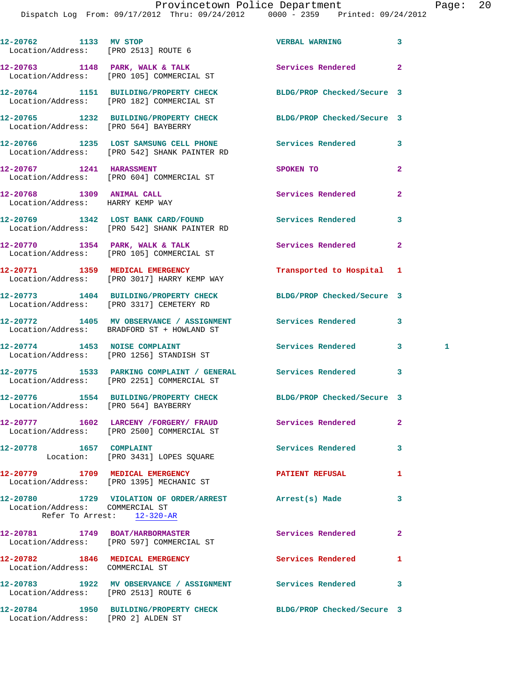| 12-20762 1133 MV STOP<br>Location/Address: [PRO 2513] ROUTE 6 |                                                                                         | <b>VERBAL WARNING</b>      | 3              |   |
|---------------------------------------------------------------|-----------------------------------------------------------------------------------------|----------------------------|----------------|---|
|                                                               | 12-20763 1148 PARK, WALK & TALK<br>Location/Address: [PRO 105] COMMERCIAL ST            | Services Rendered          | $\overline{2}$ |   |
|                                                               | 12-20764 1151 BUILDING/PROPERTY CHECK<br>Location/Address: [PRO 182] COMMERCIAL ST      | BLDG/PROP Checked/Secure 3 |                |   |
| Location/Address: [PRO 564] BAYBERRY                          | 12-20765 1232 BUILDING/PROPERTY CHECK                                                   | BLDG/PROP Checked/Secure 3 |                |   |
|                                                               | 12-20766 1235 LOST SAMSUNG CELL PHONE<br>Location/Address: [PRO 542] SHANK PAINTER RD   | <b>Services Rendered</b>   | 3              |   |
| 12-20767 1241 HARASSMENT                                      | Location/Address: [PRO 604] COMMERCIAL ST                                               | SPOKEN TO                  | $\mathbf{2}$   |   |
| 12-20768 1309 ANIMAL CALL<br>Location/Address: HARRY KEMP WAY |                                                                                         | Services Rendered          | $\mathbf{2}$   |   |
|                                                               | 12-20769 1342 LOST BANK CARD/FOUND<br>Location/Address: [PRO 542] SHANK PAINTER RD      | Services Rendered          | 3              |   |
|                                                               | 12-20770 1354 PARK, WALK & TALK<br>Location/Address: [PRO 105] COMMERCIAL ST            | <b>Services Rendered</b>   | $\overline{2}$ |   |
|                                                               | 12-20771 1359 MEDICAL EMERGENCY<br>Location/Address: [PRO 3017] HARRY KEMP WAY          | Transported to Hospital 1  |                |   |
|                                                               | 12-20773 1404 BUILDING/PROPERTY CHECK<br>Location/Address: [PRO 3317] CEMETERY RD       | BLDG/PROP Checked/Secure 3 |                |   |
|                                                               | 12-20772 1405 MV OBSERVANCE / ASSIGNMENT<br>Location/Address: BRADFORD ST + HOWLAND ST  | <b>Services Rendered</b>   | 3              |   |
| 12-20774 1453 NOISE COMPLAINT                                 | Location/Address: [PRO 1256] STANDISH ST                                                | <b>Services Rendered</b>   | 3              | 1 |
|                                                               | 12-20775 1533 PARKING COMPLAINT / GENERAL<br>Location/Address: [PRO 2251] COMMERCIAL ST | <b>Services Rendered</b>   | 3              |   |
| Location/Address: [PRO 564] BAYBERRY                          | 12-20776 1554 BUILDING/PROPERTY CHECK                                                   | BLDG/PROP Checked/Secure 3 |                |   |
|                                                               | 12-20777 1602 LARCENY / FORGERY / FRAUD<br>Location/Address: [PRO 2500] COMMERCIAL ST   | Services Rendered          | $\mathbf{2}$   |   |
|                                                               | Location: [PRO 3431] LOPES SQUARE                                                       | Services Rendered          | 3              |   |
|                                                               | 12-20779 1709 MEDICAL EMERGENCY<br>Location/Address: [PRO 1395] MECHANIC ST             | <b>PATIENT REFUSAL</b>     | 1              |   |
| Location/Address: COMMERCIAL ST                               | 12-20780 1729 VIOLATION OF ORDER/ARREST<br>Refer To Arrest: 12-320-AR                   | Arrest(s) Made             | 3              |   |
|                                                               | 12-20781 1749 BOAT/HARBORMASTER<br>Location/Address: [PRO 597] COMMERCIAL ST            | Services Rendered          | 2              |   |
| Location/Address: COMMERCIAL ST                               | 12-20782 1846 MEDICAL EMERGENCY                                                         | Services Rendered          | 1              |   |
| Location/Address: [PRO 2513] ROUTE 6                          | 12-20783 1922 MV OBSERVANCE / ASSIGNMENT                                                | <b>Services Rendered</b>   | 3              |   |
|                                                               | 12-20784 1950 BUILDING/PROPERTY CHECK                                                   | BLDG/PROP Checked/Secure 3 |                |   |

Location/Address: [PRO 2] ALDEN ST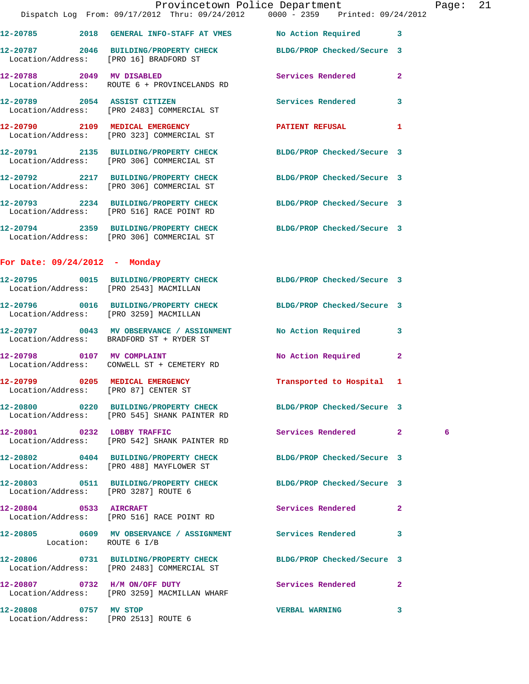|                                      |                                                                                    | Provincetown Police Department                                                                                | 21<br>Page: |
|--------------------------------------|------------------------------------------------------------------------------------|---------------------------------------------------------------------------------------------------------------|-------------|
|                                      |                                                                                    | Dispatch Log From: 09/17/2012 Thru: 09/24/2012 0000 - 2359 Printed: 09/24/2012                                |             |
|                                      |                                                                                    | 12-20785 2018 GENERAL INFO-STAFF AT VMES No Action Required 3                                                 |             |
|                                      | 12-20787 2046 BUILDING/PROPERTY CHECK<br>Location/Address: [PRO 16] BRADFORD ST    | BLDG/PROP Checked/Secure 3                                                                                    |             |
|                                      | 12-20788 2049 MV DISABLED<br>Location/Address: ROUTE 6 + PROVINCELANDS RD          | Services Rendered 2                                                                                           |             |
|                                      | 12-20789 2054 ASSIST CITIZEN<br>Location/Address: [PRO 2483] COMMERCIAL ST         | Services Rendered 3                                                                                           |             |
|                                      | 12-20790 2109 MEDICAL EMERGENCY<br>Location/Address: [PRO 323] COMMERCIAL ST       | <b>PATIENT REFUSAL</b><br>$\mathbf{1}$                                                                        |             |
|                                      | Location/Address: [PRO 306] COMMERCIAL ST                                          | 12-20791 2135 BUILDING/PROPERTY CHECK BLDG/PROP Checked/Secure 3                                              |             |
|                                      | 12-20792 2217 BUILDING/PROPERTY CHECK<br>Location/Address: [PRO 306] COMMERCIAL ST | BLDG/PROP Checked/Secure 3                                                                                    |             |
|                                      | Location/Address: [PRO 516] RACE POINT RD                                          | 12-20793 2234 BUILDING/PROPERTY CHECK BLDG/PROP Checked/Secure 3                                              |             |
|                                      |                                                                                    | 12-20794 2359 BUILDING/PROPERTY CHECK BLDG/PROP Checked/Secure 3<br>Location/Address: [PRO 306] COMMERCIAL ST |             |
| For Date: 09/24/2012 - Monday        |                                                                                    |                                                                                                               |             |
|                                      | Location/Address: [PRO 2543] MACMILLAN                                             | 12-20795 0015 BUILDING/PROPERTY CHECK BLDG/PROP Checked/Secure 3                                              |             |
|                                      | Location/Address: [PRO 3259] MACMILLAN                                             | 12-20796 0016 BUILDING/PROPERTY CHECK BLDG/PROP Checked/Secure 3                                              |             |
|                                      | Location/Address: BRADFORD ST + RYDER ST                                           | 12-20797 0043 MV OBSERVANCE / ASSIGNMENT No Action Required 3                                                 |             |
|                                      | 12-20798 0107 MV COMPLAINT<br>Location/Address: CONWELL ST + CEMETERY RD           | No Action Required<br>$\mathbf{2}$                                                                            |             |
| Location/Address: [PRO 87] CENTER ST | 12-20799 0205 MEDICAL EMERGENCY                                                    | Transported to Hospital 1                                                                                     |             |
|                                      | Location/Address: [PRO 545] SHANK PAINTER RD                                       | 12-20800 0220 BUILDING/PROPERTY CHECK BLDG/PROP Checked/Secure 3                                              |             |
|                                      | 12-20801 0232 LOBBY TRAFFIC<br>Location/Address: [PRO 542] SHANK PAINTER RD        | Services Rendered 2                                                                                           | 6           |
|                                      | Location/Address: [PRO 488] MAYFLOWER ST                                           | 12-20802 0404 BUILDING/PROPERTY CHECK BLDG/PROP Checked/Secure 3                                              |             |
| Location/Address: [PRO 3287] ROUTE 6 |                                                                                    | 12-20803 0511 BUILDING/PROPERTY CHECK BLDG/PROP Checked/Secure 3                                              |             |
|                                      | 12-20804 0533 AIRCRAFT<br>Location/Address: [PRO 516] RACE POINT RD                | Services Rendered 2                                                                                           |             |
|                                      | Location: ROUTE 6 I/B                                                              | 12-20805 0609 MV OBSERVANCE / ASSIGNMENT Services Rendered 3                                                  |             |
|                                      | Location/Address: [PRO 2483] COMMERCIAL ST                                         | 12-20806 0731 BUILDING/PROPERTY CHECK BLDG/PROP Checked/Secure 3                                              |             |
|                                      | 12-20807 0732 H/M ON/OFF DUTY<br>Location/Address: [PRO 3259] MACMILLAN WHARF      | Services Rendered 2                                                                                           |             |
| 12-20808 0757 MV STOP                | Location/Address: [PRO 2513] ROUTE 6                                               | VERBAL WARNING 3                                                                                              |             |